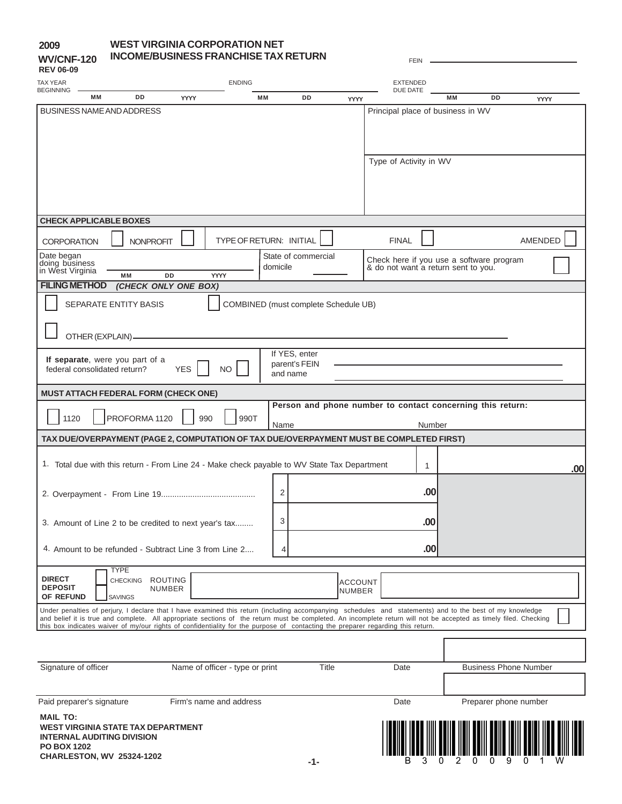### **2009 WV/CNF-120**

### **WEST VIRGINIA CORPORATION NET INCOME/BUSINESS FRANCHISE TAX RETURN**

| <b>REV 06-09</b>                                             |                  |                                 |                |                                                                                                                                                                                                                                                                                                                               |                |                     |                |                                                            |                             |                                     |                              |         |     |
|--------------------------------------------------------------|------------------|---------------------------------|----------------|-------------------------------------------------------------------------------------------------------------------------------------------------------------------------------------------------------------------------------------------------------------------------------------------------------------------------------|----------------|---------------------|----------------|------------------------------------------------------------|-----------------------------|-------------------------------------|------------------------------|---------|-----|
| TAX YEAR<br><b>BEGINNING</b>                                 |                  |                                 |                | <b>ENDING</b>                                                                                                                                                                                                                                                                                                                 |                |                     |                |                                                            | <b>EXTENDED</b><br>DUE DATE |                                     |                              |         |     |
|                                                              | <b>MM</b>        | <b>DD</b>                       | <b>YYYY</b>    |                                                                                                                                                                                                                                                                                                                               | <b>MM</b>      | <b>DD</b>           | YYYY           |                                                            |                             | <b>MM</b>                           | DD                           | YYYY    |     |
| <b>BUSINESS NAME AND ADDRESS</b>                             |                  |                                 |                |                                                                                                                                                                                                                                                                                                                               |                |                     |                |                                                            |                             | Principal place of business in WV   |                              |         |     |
|                                                              |                  |                                 |                |                                                                                                                                                                                                                                                                                                                               |                |                     |                |                                                            |                             |                                     |                              |         |     |
|                                                              |                  |                                 |                |                                                                                                                                                                                                                                                                                                                               |                |                     |                |                                                            |                             |                                     |                              |         |     |
|                                                              |                  |                                 |                |                                                                                                                                                                                                                                                                                                                               |                |                     |                |                                                            |                             |                                     |                              |         |     |
|                                                              |                  |                                 |                |                                                                                                                                                                                                                                                                                                                               |                |                     |                | Type of Activity in WV                                     |                             |                                     |                              |         |     |
|                                                              |                  |                                 |                |                                                                                                                                                                                                                                                                                                                               |                |                     |                |                                                            |                             |                                     |                              |         |     |
|                                                              |                  |                                 |                |                                                                                                                                                                                                                                                                                                                               |                |                     |                |                                                            |                             |                                     |                              |         |     |
|                                                              |                  |                                 |                |                                                                                                                                                                                                                                                                                                                               |                |                     |                |                                                            |                             |                                     |                              |         |     |
| <b>CHECK APPLICABLE BOXES</b>                                |                  |                                 |                |                                                                                                                                                                                                                                                                                                                               |                |                     |                |                                                            |                             |                                     |                              |         |     |
|                                                              |                  |                                 |                |                                                                                                                                                                                                                                                                                                                               |                |                     |                |                                                            |                             |                                     |                              |         |     |
| <b>CORPORATION</b>                                           |                  | <b>NONPROFIT</b>                |                | <b>TYPE OF RETURN: INITIAL</b>                                                                                                                                                                                                                                                                                                |                |                     |                | <b>FINAL</b>                                               |                             |                                     |                              | AMENDED |     |
| Date began                                                   |                  |                                 |                |                                                                                                                                                                                                                                                                                                                               |                | State of commercial |                | Check here if you use a software program                   |                             |                                     |                              |         |     |
| doing business<br>in West Virginia                           |                  | <b>MM</b>                       | DD             | <b>YYYY</b>                                                                                                                                                                                                                                                                                                                   | domicile       |                     |                |                                                            |                             | & do not want a return sent to you. |                              |         |     |
| <b>FILING METHOD</b>                                         |                  | (CHECK ONLY ONE BOX)            |                |                                                                                                                                                                                                                                                                                                                               |                |                     |                |                                                            |                             |                                     |                              |         |     |
|                                                              |                  |                                 |                |                                                                                                                                                                                                                                                                                                                               |                |                     |                |                                                            |                             |                                     |                              |         |     |
|                                                              |                  | <b>SEPARATE ENTITY BASIS</b>    |                | <b>COMBINED</b> (must complete Schedule UB)                                                                                                                                                                                                                                                                                   |                |                     |                |                                                            |                             |                                     |                              |         |     |
|                                                              |                  |                                 |                |                                                                                                                                                                                                                                                                                                                               |                |                     |                |                                                            |                             |                                     |                              |         |     |
|                                                              | OTHER (EXPLAIN)- |                                 |                |                                                                                                                                                                                                                                                                                                                               |                |                     |                |                                                            |                             |                                     |                              |         |     |
|                                                              |                  |                                 |                |                                                                                                                                                                                                                                                                                                                               |                | If YES, enter       |                |                                                            |                             |                                     |                              |         |     |
| federal consolidated return?                                 |                  | If separate, were you part of a | <b>YES</b>     |                                                                                                                                                                                                                                                                                                                               |                | parent's FEIN       |                |                                                            |                             |                                     |                              |         |     |
|                                                              |                  |                                 |                | <b>NO</b>                                                                                                                                                                                                                                                                                                                     |                | and name            |                |                                                            |                             |                                     |                              |         |     |
| <b>MUST ATTACH FEDERAL FORM (CHECK ONE)</b>                  |                  |                                 |                |                                                                                                                                                                                                                                                                                                                               |                |                     |                |                                                            |                             |                                     |                              |         |     |
|                                                              |                  |                                 |                |                                                                                                                                                                                                                                                                                                                               |                |                     |                | Person and phone number to contact concerning this return: |                             |                                     |                              |         |     |
| 1120                                                         |                  | PROFORMA 1120                   | 990            | 990T                                                                                                                                                                                                                                                                                                                          |                |                     |                |                                                            |                             |                                     |                              |         |     |
|                                                              |                  |                                 |                |                                                                                                                                                                                                                                                                                                                               | Name           |                     |                |                                                            | Number                      |                                     |                              |         |     |
|                                                              |                  |                                 |                | TAX DUE/OVERPAYMENT (PAGE 2, COMPUTATION OF TAX DUE/OVERPAYMENT MUST BE COMPLETED FIRST)                                                                                                                                                                                                                                      |                |                     |                |                                                            |                             |                                     |                              |         |     |
|                                                              |                  |                                 |                | 1. Total due with this return - From Line 24 - Make check payable to WV State Tax Department                                                                                                                                                                                                                                  |                |                     |                |                                                            |                             |                                     |                              |         |     |
|                                                              |                  |                                 |                |                                                                                                                                                                                                                                                                                                                               |                |                     |                |                                                            | 1                           |                                     |                              |         | .00 |
|                                                              |                  |                                 |                |                                                                                                                                                                                                                                                                                                                               |                |                     |                |                                                            |                             |                                     |                              |         |     |
|                                                              |                  |                                 |                |                                                                                                                                                                                                                                                                                                                               | $\overline{2}$ |                     |                |                                                            | .00                         |                                     |                              |         |     |
|                                                              |                  |                                 |                |                                                                                                                                                                                                                                                                                                                               |                |                     |                |                                                            |                             |                                     |                              |         |     |
|                                                              |                  |                                 |                | 3. Amount of Line 2 to be credited to next year's tax                                                                                                                                                                                                                                                                         | 3              |                     |                |                                                            | .00                         |                                     |                              |         |     |
|                                                              |                  |                                 |                |                                                                                                                                                                                                                                                                                                                               |                |                     |                |                                                            |                             |                                     |                              |         |     |
|                                                              |                  |                                 |                | 4. Amount to be refunded - Subtract Line 3 from Line 2                                                                                                                                                                                                                                                                        | 4              |                     |                |                                                            | .00                         |                                     |                              |         |     |
|                                                              | <b>TYPE</b>      |                                 |                |                                                                                                                                                                                                                                                                                                                               |                |                     |                |                                                            |                             |                                     |                              |         |     |
| <b>DIRECT</b>                                                |                  | <b>CHECKING</b>                 | <b>ROUTING</b> |                                                                                                                                                                                                                                                                                                                               |                |                     | <b>ACCOUNT</b> |                                                            |                             |                                     |                              |         |     |
| <b>DEPOSIT</b><br>OF REFUND                                  | <b>SAVINGS</b>   |                                 | <b>NUMBER</b>  |                                                                                                                                                                                                                                                                                                                               |                |                     | <b>NUMBER</b>  |                                                            |                             |                                     |                              |         |     |
|                                                              |                  |                                 |                |                                                                                                                                                                                                                                                                                                                               |                |                     |                |                                                            |                             |                                     |                              |         |     |
|                                                              |                  |                                 |                | Under penalties of perjury, I declare that I have examined this return (including accompanying schedules and statements) and to the best of my knowledge<br>and belief it is true and complete. All appropriate sections of the return must be completed. An incomplete return will not be accepted as timely filed. Checking |                |                     |                |                                                            |                             |                                     |                              |         |     |
|                                                              |                  |                                 |                | this box indicates waiver of my/our rights of confidentiality for the purpose of contacting the preparer regarding this return.                                                                                                                                                                                               |                |                     |                |                                                            |                             |                                     |                              |         |     |
|                                                              |                  |                                 |                |                                                                                                                                                                                                                                                                                                                               |                |                     |                |                                                            |                             |                                     |                              |         |     |
|                                                              |                  |                                 |                |                                                                                                                                                                                                                                                                                                                               |                |                     |                |                                                            |                             |                                     |                              |         |     |
| Signature of officer                                         |                  |                                 |                | Name of officer - type or print                                                                                                                                                                                                                                                                                               |                |                     | <b>Title</b>   | Date                                                       |                             |                                     | <b>Business Phone Number</b> |         |     |
|                                                              |                  |                                 |                |                                                                                                                                                                                                                                                                                                                               |                |                     |                |                                                            |                             |                                     |                              |         |     |
| Paid preparer's signature                                    |                  |                                 |                | Firm's name and address                                                                                                                                                                                                                                                                                                       |                |                     |                | Date                                                       |                             |                                     | Preparer phone number        |         |     |
|                                                              |                  |                                 |                |                                                                                                                                                                                                                                                                                                                               |                |                     |                |                                                            |                             |                                     |                              |         |     |
| <b>MAIL TO:</b><br><b>WEST VIRGINIA STATE TAX DEPARTMENT</b> |                  |                                 |                |                                                                                                                                                                                                                                                                                                                               |                |                     |                |                                                            |                             |                                     |                              |         |     |
| <b>INTERNAL AUDITING DIVISION</b>                            |                  |                                 |                |                                                                                                                                                                                                                                                                                                                               |                |                     |                |                                                            |                             |                                     |                              |         |     |

FEIN -

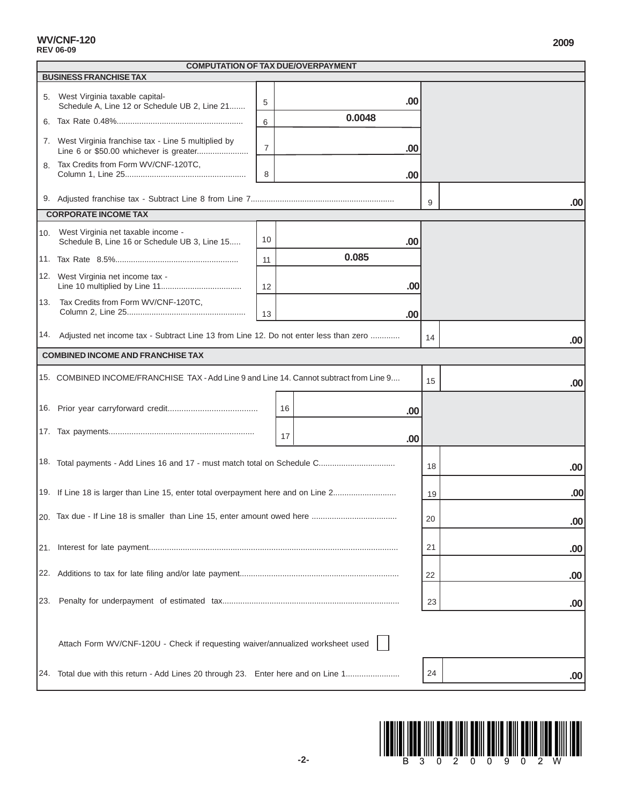**WV/CNF-120**

|     | <b>BUSINESS FRANCHISE TAX</b>                                                                   |                  |    |        |     |    |     |
|-----|-------------------------------------------------------------------------------------------------|------------------|----|--------|-----|----|-----|
|     | 5. West Virginia taxable capital-                                                               | 5                |    |        | .00 |    |     |
|     | Schedule A, Line 12 or Schedule UB 2, Line 21                                                   |                  |    | 0.0048 |     |    |     |
|     |                                                                                                 | 6                |    |        |     |    |     |
|     | 7. West Virginia franchise tax - Line 5 multiplied by<br>Line 6 or \$50.00 whichever is greater | $\boldsymbol{7}$ |    |        | .00 |    |     |
| 8.  | Tax Credits from Form WV/CNF-120TC,                                                             | 8                |    |        | .00 |    |     |
|     |                                                                                                 |                  |    |        |     |    |     |
|     |                                                                                                 |                  |    |        |     | 9  | .00 |
|     | <b>CORPORATE INCOME TAX</b>                                                                     |                  |    |        |     |    |     |
|     | 10. West Virginia net taxable income -<br>Schedule B, Line 16 or Schedule UB 3, Line 15         | 10               |    |        | .00 |    |     |
|     |                                                                                                 | 11               |    | 0.085  |     |    |     |
|     | 12. West Virginia net income tax -                                                              | 12               |    |        | .00 |    |     |
|     | 13. Tax Credits from Form WV/CNF-120TC,                                                         |                  |    |        |     |    |     |
|     |                                                                                                 | 13               |    |        | .00 |    |     |
|     | 14. Adjusted net income tax - Subtract Line 13 from Line 12. Do not enter less than zero        |                  |    |        |     | 14 | .00 |
|     | <b>COMBINED INCOME AND FRANCHISE TAX</b>                                                        |                  |    |        |     |    |     |
|     | 15. COMBINED INCOME/FRANCHISE TAX - Add Line 9 and Line 14. Cannot subtract from Line 9         |                  |    |        |     | 15 | .00 |
|     |                                                                                                 |                  | 16 |        | .00 |    |     |
|     |                                                                                                 |                  | 17 |        | .00 |    |     |
|     | 18. Total payments - Add Lines 16 and 17 - must match total on Schedule C                       |                  |    |        |     |    |     |
|     |                                                                                                 |                  |    |        |     | 18 | .00 |
|     | 19. If Line 18 is larger than Line 15, enter total overpayment here and on Line 2               |                  |    |        |     | 19 | .00 |
|     |                                                                                                 |                  |    |        |     | 20 | .00 |
|     |                                                                                                 |                  |    |        |     | 21 | .00 |
|     |                                                                                                 |                  |    |        |     |    |     |
|     |                                                                                                 |                  |    |        |     | 22 | .00 |
| 23. |                                                                                                 |                  |    |        |     | 23 | .00 |
|     |                                                                                                 |                  |    |        |     |    |     |
|     | Attach Form WV/CNF-120U - Check if requesting waiver/annualized worksheet used                  |                  |    |        |     |    |     |
| 24. | Total due with this return - Add Lines 20 through 23. Enter here and on Line 1                  |                  |    |        |     | 24 | .00 |
|     |                                                                                                 |                  |    |        |     |    |     |



┑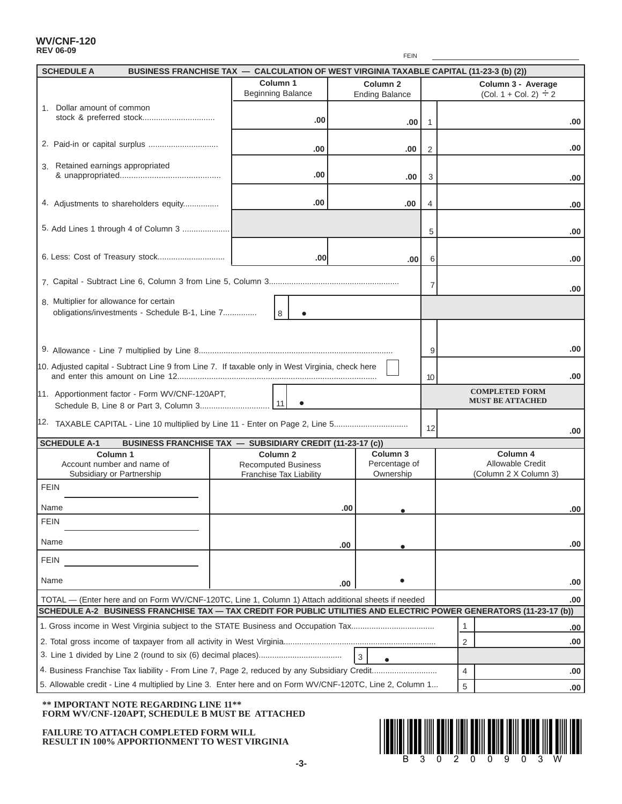#### **WV/CNF-120 REV 06-09**

| <b>SCHEDULE A</b>                       | BUSINESS FRANCHISE TAX - CALCULATION OF WEST VIRGINIA TAXABLE CAPITAL (11-23-3 (b) (2))                  |                                                                                     |     |                                              |                |                                                                                                                    |     |  |
|-----------------------------------------|----------------------------------------------------------------------------------------------------------|-------------------------------------------------------------------------------------|-----|----------------------------------------------|----------------|--------------------------------------------------------------------------------------------------------------------|-----|--|
|                                         |                                                                                                          | Column 1<br><b>Beginning Balance</b>                                                |     | Column <sub>2</sub><br><b>Ending Balance</b> |                | Column 3 - Average<br>(Col. 1 + Col. 2) $\div 2$                                                                   |     |  |
| 1. Dollar amount of common              |                                                                                                          |                                                                                     |     |                                              |                |                                                                                                                    |     |  |
|                                         |                                                                                                          | .00                                                                                 |     | ا 00.                                        | -1             |                                                                                                                    | .00 |  |
|                                         |                                                                                                          | .00                                                                                 |     | .00                                          | 2              |                                                                                                                    | .00 |  |
| Retained earnings appropriated<br>3.    |                                                                                                          | .00                                                                                 |     | .00                                          | 3              |                                                                                                                    | .00 |  |
|                                         |                                                                                                          |                                                                                     |     |                                              |                |                                                                                                                    |     |  |
|                                         | 4. Adjustments to shareholders equity                                                                    | .00                                                                                 |     | .00                                          | 4              |                                                                                                                    | .00 |  |
|                                         | 5. Add Lines 1 through 4 of Column 3                                                                     |                                                                                     |     |                                              | 5              |                                                                                                                    | .00 |  |
|                                         |                                                                                                          | .00                                                                                 |     | .00                                          | 6              |                                                                                                                    | .00 |  |
|                                         |                                                                                                          |                                                                                     |     |                                              | $\overline{7}$ |                                                                                                                    | .00 |  |
| 8. Multiplier for allowance for certain | obligations/investments - Schedule B-1, Line 7                                                           | l 8                                                                                 |     |                                              |                |                                                                                                                    |     |  |
|                                         |                                                                                                          |                                                                                     |     |                                              |                |                                                                                                                    |     |  |
|                                         |                                                                                                          |                                                                                     |     |                                              |                |                                                                                                                    |     |  |
|                                         |                                                                                                          |                                                                                     |     |                                              | 9              |                                                                                                                    | .00 |  |
|                                         | 10. Adjusted capital - Subtract Line 9 from Line 7. If taxable only in West Virginia, check here         |                                                                                     |     |                                              | 10             |                                                                                                                    | .00 |  |
|                                         | 11. Apportionment factor - Form WV/CNF-120APT,                                                           |                                                                                     |     |                                              |                | <b>COMPLETED FORM</b><br><b>MUST BE ATTACHED</b>                                                                   |     |  |
|                                         | 12. TAXABLE CAPITAL - Line 10 multiplied by Line 11 - Enter on Page 2, Line 5                            |                                                                                     |     |                                              |                |                                                                                                                    |     |  |
|                                         |                                                                                                          |                                                                                     |     |                                              | 12             |                                                                                                                    | .00 |  |
| <b>SCHEDULE A-1</b>                     | BUSINESS FRANCHISE TAX - SUBSIDIARY CREDIT (11-23-17 (c))<br>Column <sub>1</sub>                         |                                                                                     |     | Column <sub>3</sub>                          |                | Column 4                                                                                                           |     |  |
|                                         | Account number and name of<br>Subsidiary or Partnership                                                  | Column <sub>2</sub><br><b>Recomputed Business</b><br><b>Franchise Tax Liability</b> |     | Percentage of<br>Ownership                   |                | Allowable Credit<br>(Column 2 X Column 3)                                                                          |     |  |
| <b>FEIN</b>                             |                                                                                                          |                                                                                     |     |                                              |                |                                                                                                                    |     |  |
| Name                                    |                                                                                                          |                                                                                     | .00 |                                              |                |                                                                                                                    | .00 |  |
| <b>FEIN</b>                             |                                                                                                          |                                                                                     |     |                                              |                |                                                                                                                    |     |  |
| Name                                    |                                                                                                          |                                                                                     | .00 |                                              |                |                                                                                                                    | .00 |  |
| <b>FEIN</b>                             |                                                                                                          |                                                                                     |     |                                              |                |                                                                                                                    |     |  |
| Name                                    |                                                                                                          |                                                                                     | .00 |                                              |                |                                                                                                                    | .00 |  |
|                                         | TOTAL - (Enter here and on Form WV/CNF-120TC, Line 1, Column 1) Attach additional sheets if needed       |                                                                                     |     |                                              |                |                                                                                                                    | .00 |  |
|                                         |                                                                                                          |                                                                                     |     |                                              |                | SCHEDULE A-2 BUSINESS FRANCHISE TAX - TAX CREDIT FOR PUBLIC UTILITIES AND ELECTRIC POWER GENERATORS (11-23-17 (b)) |     |  |
|                                         |                                                                                                          |                                                                                     |     |                                              |                | 1                                                                                                                  | .00 |  |
|                                         |                                                                                                          |                                                                                     |     |                                              |                | 2                                                                                                                  | .00 |  |
|                                         |                                                                                                          |                                                                                     |     | 3                                            |                |                                                                                                                    |     |  |
|                                         |                                                                                                          |                                                                                     |     |                                              |                | $\overline{4}$                                                                                                     | .00 |  |
|                                         | 5. Allowable credit - Line 4 multiplied by Line 3. Enter here and on Form WV/CNF-120TC, Line 2, Column 1 |                                                                                     |     |                                              |                | 5                                                                                                                  | .00 |  |

### **\*\* IMPORTANT NOTE REGARDING LINE 11\*\* FORM WV/CNF-120APT, SCHEDULE B MUST BE ATTACHED**

FAILURE TO ATTACH COMPLETED FORM WILL RESULT IN 100% APPORTIONMENT TO WEST VIRGINIA



FEIN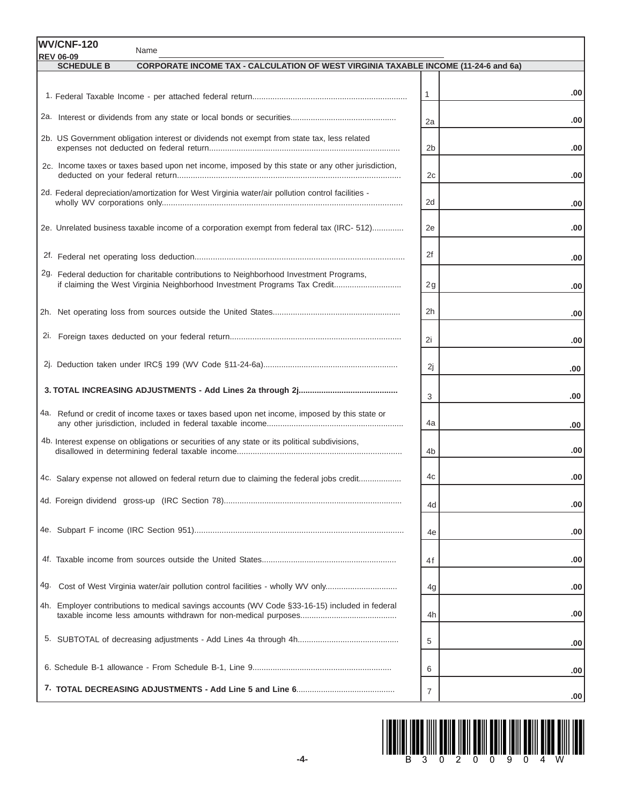|     | WV/CNF-120<br>Name                                                                                                                  |                |      |
|-----|-------------------------------------------------------------------------------------------------------------------------------------|----------------|------|
|     | <b>REV 06-09</b><br><b>CORPORATE INCOME TAX - CALCULATION OF WEST VIRGINIA TAXABLE INCOME (11-24-6 and 6a)</b><br><b>SCHEDULE B</b> |                |      |
|     |                                                                                                                                     |                |      |
|     |                                                                                                                                     | $\mathbf{1}$   | .00  |
|     |                                                                                                                                     | 2a             | .00  |
|     | 2b. US Government obligation interest or dividends not exempt from state tax, less related                                          | 2 <sub>b</sub> | .00  |
|     | 2c. Income taxes or taxes based upon net income, imposed by this state or any other jurisdiction,                                   | 2c             | .00  |
|     | 2d. Federal depreciation/amortization for West Virginia water/air pollution control facilities -                                    | 2d             | .00  |
|     | 2e. Unrelated business taxable income of a corporation exempt from federal tax (IRC- 512)                                           | 2e             | .00  |
|     |                                                                                                                                     | 2f             | .00  |
|     | 2g. Federal deduction for charitable contributions to Neighborhood Investment Programs,                                             | 2g             | .00  |
|     |                                                                                                                                     | 2h             | .00  |
|     |                                                                                                                                     | 2i             | .00  |
|     |                                                                                                                                     | 2j             | .00  |
|     |                                                                                                                                     | 3              | .00  |
|     | 4a. Refund or credit of income taxes or taxes based upon net income, imposed by this state or                                       | 4a             | .00  |
|     | 4b. Interest expense on obligations or securities of any state or its political subdivisions,                                       | 4b             | .00  |
|     | 4c. Salary expense not allowed on federal return due to claiming the federal jobs credit                                            | 4c             | .00. |
|     |                                                                                                                                     | 4d             | .00  |
|     |                                                                                                                                     | 4e             | .00  |
|     |                                                                                                                                     | 4f             | .00  |
| 4g. | Cost of West Virginia water/air pollution control facilities - wholly WV only                                                       | 4g             | .00  |
|     | 4h. Employer contributions to medical savings accounts (WV Code §33-16-15) included in federal                                      | 4h             | .00  |
|     |                                                                                                                                     | 5              | .00  |
|     |                                                                                                                                     | 6              | .00  |
|     |                                                                                                                                     | $\overline{7}$ | .00  |

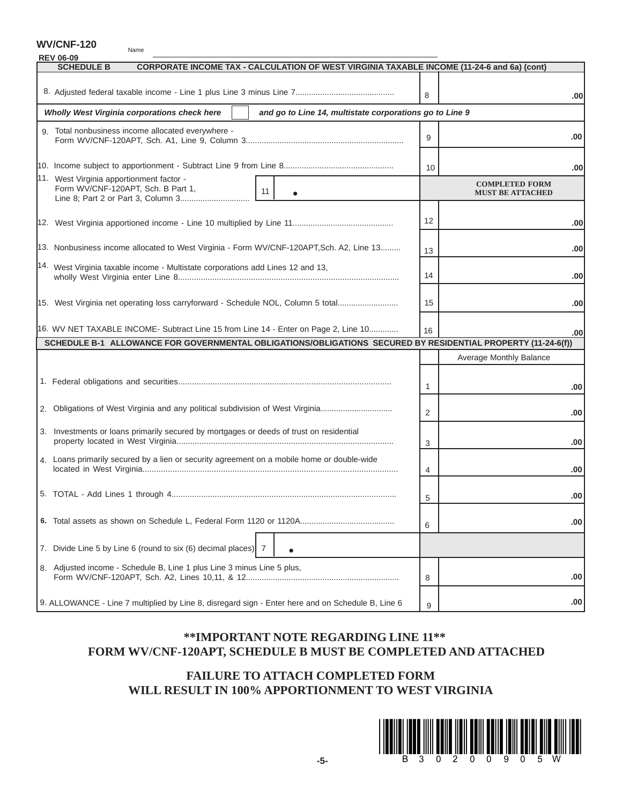**WV/CNF-120**

| Name                                                                                                                                |              |                         |
|-------------------------------------------------------------------------------------------------------------------------------------|--------------|-------------------------|
| <b>REV 06-09</b><br><b>SCHEDULE B</b><br>CORPORATE INCOME TAX - CALCULATION OF WEST VIRGINIA TAXABLE INCOME (11-24-6 and 6a) (cont) |              |                         |
|                                                                                                                                     |              |                         |
|                                                                                                                                     | 8            | .00 <sub>1</sub>        |
|                                                                                                                                     |              |                         |
| Wholly West Virginia corporations check here<br>and go to Line 14, multistate corporations go to Line 9                             |              |                         |
| 9. Total nonbusiness income allocated everywhere -                                                                                  |              |                         |
|                                                                                                                                     | 9            | .00                     |
|                                                                                                                                     |              |                         |
|                                                                                                                                     | 10           | .00 <sub>1</sub>        |
| 11. West Virginia apportionment factor -                                                                                            |              | <b>COMPLETED FORM</b>   |
| Form WV/CNF-120APT, Sch. B Part 1,<br>11                                                                                            |              | <b>MUST BE ATTACHED</b> |
|                                                                                                                                     |              |                         |
|                                                                                                                                     | 12           | .00                     |
|                                                                                                                                     |              |                         |
| 13. Nonbusiness income allocated to West Virginia - Form WV/CNF-120APT, Sch. A2, Line 13                                            |              |                         |
|                                                                                                                                     | 13           | .00                     |
| 14. West Virginia taxable income - Multistate corporations add Lines 12 and 13,                                                     |              |                         |
|                                                                                                                                     | 14           | .00                     |
|                                                                                                                                     |              |                         |
| 15. West Virginia net operating loss carryforward - Schedule NOL, Column 5 total                                                    | 15           | .00                     |
|                                                                                                                                     |              |                         |
| 16. WV NET TAXABLE INCOME- Subtract Line 15 from Line 14 - Enter on Page 2, Line 10                                                 | 16           | .00                     |
| SCHEDULE B-1 ALLOWANCE FOR GOVERNMENTAL OBLIGATIONS/OBLIGATIONS SECURED BY RESIDENTIAL PROPERTY (11-24-6(f))                        |              |                         |
|                                                                                                                                     |              | Average Monthly Balance |
|                                                                                                                                     |              |                         |
|                                                                                                                                     | $\mathbf{1}$ |                         |
|                                                                                                                                     |              | .00                     |
| 2. Obligations of West Virginia and any political subdivision of West Virginia                                                      | 2            |                         |
|                                                                                                                                     |              | .00                     |
| 3. Investments or loans primarily secured by mortgages or deeds of trust on residential                                             |              |                         |
|                                                                                                                                     | 3            | .00                     |
| 4. Loans primarily secured by a lien or security agreement on a mobile home or double-wide                                          |              |                         |
|                                                                                                                                     | 4            | .00                     |
|                                                                                                                                     |              |                         |
|                                                                                                                                     | 5            | .00                     |
|                                                                                                                                     |              |                         |
|                                                                                                                                     | 6            | .00                     |
|                                                                                                                                     |              |                         |
| 7. Divide Line 5 by Line 6 (round to six (6) decimal places)<br>-7                                                                  |              |                         |
|                                                                                                                                     |              |                         |
| 8. Adjusted income - Schedule B, Line 1 plus Line 3 minus Line 5 plus,                                                              |              |                         |
|                                                                                                                                     | 8            | .00                     |
|                                                                                                                                     |              |                         |
| 9. ALLOWANCE - Line 7 multiplied by Line 8, disregard sign - Enter here and on Schedule B, Line 6                                   | 9            | .00                     |

# **\*\*IMPORTANT NOTE REGARDING LINE 11\*\* FORM WV/CNF-120APT, SCHEDULE B MUST BE COMPLETED AND ATTACHED**

# **FAILURE TO ATTACH COMPLETED FORM WILL RESULT IN 100% APPORTIONMENT TO WEST VIRGINIA**

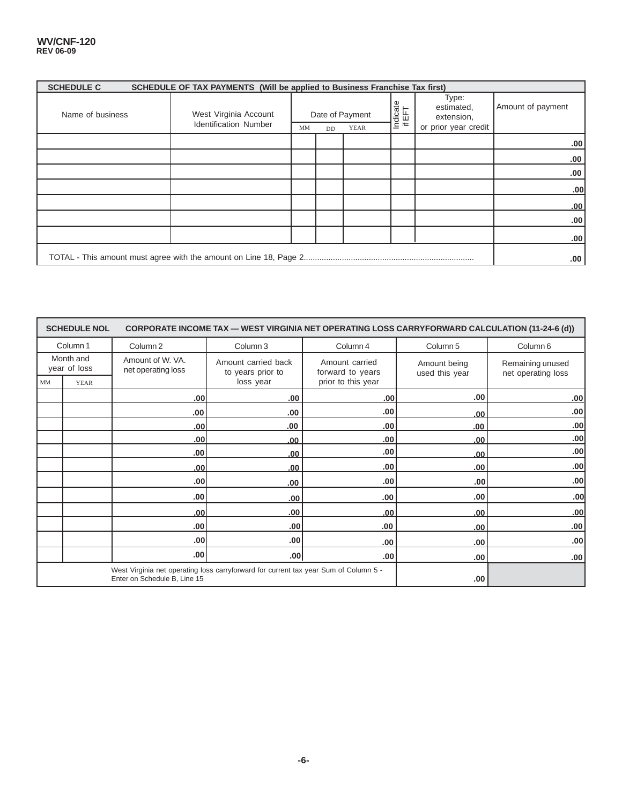#### **WV/CNF-120 REV 06-09**

| <b>SCHEDULE C</b> | SCHEDULE OF TAX PAYMENTS (Will be applied to Business Franchise Tax first) |    |    |                         |                    |                                                           |                   |
|-------------------|----------------------------------------------------------------------------|----|----|-------------------------|--------------------|-----------------------------------------------------------|-------------------|
| Name of business  | West Virginia Account<br><b>Identification Number</b>                      | MM |    | Date of Payment<br>YEAR | Indicate<br>if EFT | Type:<br>estimated,<br>extension,<br>or prior year credit | Amount of payment |
|                   |                                                                            |    | DD |                         |                    |                                                           |                   |
|                   |                                                                            |    |    |                         |                    |                                                           | .00               |
|                   |                                                                            |    |    |                         |                    |                                                           | .00               |
|                   |                                                                            |    |    |                         |                    |                                                           | .00               |
|                   |                                                                            |    |    |                         |                    |                                                           | .00               |
|                   |                                                                            |    |    |                         |                    |                                                           | .00               |
|                   |                                                                            |    |    |                         |                    |                                                           | .00               |
|                   |                                                                            |    |    |                         |                    |                                                           | .00               |
|                   |                                                                            |    |    |                         |                    |                                                           | .00               |

|                                 | <b>SCHEDULE NOL</b> |                                                                                                                      | CORPORATE INCOME TAX — WEST VIRGINIA NET OPERATING LOSS CARRYFORWARD CALCULATION (11-24-6 (d)) |                                    |                                |                                        |  |
|---------------------------------|---------------------|----------------------------------------------------------------------------------------------------------------------|------------------------------------------------------------------------------------------------|------------------------------------|--------------------------------|----------------------------------------|--|
| Column 1<br>Column <sub>2</sub> |                     |                                                                                                                      | Column 3<br>Column 4                                                                           |                                    | Column <sub>5</sub>            | Column <sub>6</sub>                    |  |
| Month and<br>year of loss       |                     | Amount of W. VA.<br>net operating loss                                                                               | Amount carried back<br>to years prior to                                                       | Amount carried<br>forward to years | Amount being<br>used this year | Remaining unused<br>net operating loss |  |
| MM                              | <b>YEAR</b>         |                                                                                                                      | loss year                                                                                      | prior to this year                 |                                |                                        |  |
|                                 |                     | .00                                                                                                                  | .00.                                                                                           | .00 <sub>1</sub>                   | .00.                           | .00                                    |  |
|                                 |                     | .00                                                                                                                  | .00.                                                                                           | .00                                | .00.                           | .00                                    |  |
|                                 |                     | .00                                                                                                                  | .00.                                                                                           | .00                                | .00                            | .00                                    |  |
|                                 |                     | .00                                                                                                                  | .00                                                                                            | .00                                | .00                            | .00                                    |  |
|                                 |                     | .00                                                                                                                  | .00.                                                                                           | .00                                | .00                            | .00                                    |  |
|                                 |                     | .00                                                                                                                  | .00.                                                                                           | .00                                | .00.                           | .00                                    |  |
|                                 |                     | .00                                                                                                                  | .00.                                                                                           | .00                                | .00                            | .00                                    |  |
|                                 |                     | .00                                                                                                                  | .00                                                                                            | .00.                               | .00.                           | .00                                    |  |
|                                 |                     | .00                                                                                                                  | .00                                                                                            | .00 <sub>1</sub>                   | .00                            | .00                                    |  |
|                                 |                     | .00.                                                                                                                 | .00 <sub>1</sub>                                                                               | .00                                | .00                            | .00 <sub>1</sub>                       |  |
|                                 |                     | .00                                                                                                                  | .00                                                                                            | .00.                               | .00.                           | .00                                    |  |
|                                 |                     | .00 <sub>1</sub>                                                                                                     | .00 <sub>1</sub>                                                                               | .00 <sub>1</sub>                   | .00.                           | .00 <sub>1</sub>                       |  |
|                                 |                     | West Virginia net operating loss carryforward for current tax year Sum of Column 5 -<br>Enter on Schedule B, Line 15 |                                                                                                | .00.                               |                                |                                        |  |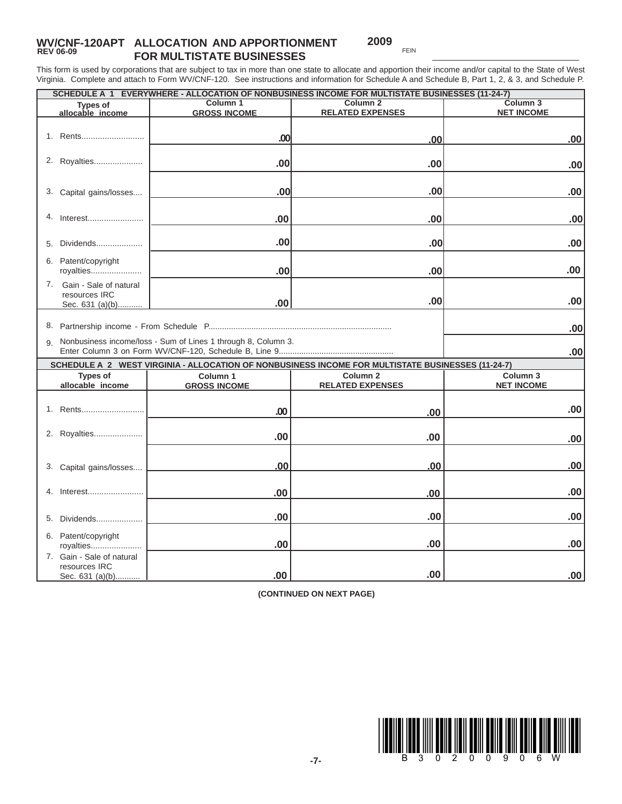## **WV/CNF-120APT ALLOCATION AND APPORTIONMENT** REV 06-09 **FOR MULTISTATE BUSINESSES**

**2009**

This form is used by corporations that are subject to tax in more than one state to allocate and apportion their income and/or capital to the State of West Virginia. Complete and attach to Form WV/CNF-120. See instructions and information for Schedule A and Schedule B, Part 1, 2, & 3, and Schedule P.

| SCHEDULE A 1 EVERYWHERE - ALLOCATION OF NONBUSINESS INCOME FOR MULTISTATE BUSINESSES (11-24-7) |                                                                  |                                                                                                   |                     |  |  |  |  |  |
|------------------------------------------------------------------------------------------------|------------------------------------------------------------------|---------------------------------------------------------------------------------------------------|---------------------|--|--|--|--|--|
| <b>Types of</b>                                                                                | Column 1                                                         | Column <sub>2</sub>                                                                               | Column <sub>3</sub> |  |  |  |  |  |
| allocable income                                                                               | <b>GROSS INCOME</b>                                              | <b>RELATED EXPENSES</b>                                                                           | <b>NET INCOME</b>   |  |  |  |  |  |
|                                                                                                |                                                                  |                                                                                                   |                     |  |  |  |  |  |
| 1. Rents                                                                                       | .00                                                              | .00                                                                                               | .00.                |  |  |  |  |  |
|                                                                                                |                                                                  |                                                                                                   |                     |  |  |  |  |  |
| 2. Royalties                                                                                   | .00                                                              |                                                                                                   |                     |  |  |  |  |  |
|                                                                                                |                                                                  | .00                                                                                               | .00                 |  |  |  |  |  |
|                                                                                                |                                                                  |                                                                                                   |                     |  |  |  |  |  |
| 3. Capital gains/losses                                                                        | .00                                                              | .00                                                                                               | .00                 |  |  |  |  |  |
|                                                                                                |                                                                  |                                                                                                   |                     |  |  |  |  |  |
|                                                                                                |                                                                  |                                                                                                   |                     |  |  |  |  |  |
| 4.<br>Interest                                                                                 | .00                                                              | .00                                                                                               | .00                 |  |  |  |  |  |
|                                                                                                |                                                                  |                                                                                                   |                     |  |  |  |  |  |
| Dividends<br>5.                                                                                | .00                                                              | .00                                                                                               | .00                 |  |  |  |  |  |
|                                                                                                |                                                                  |                                                                                                   |                     |  |  |  |  |  |
| 6. Patent/copyright                                                                            |                                                                  |                                                                                                   |                     |  |  |  |  |  |
| royalties                                                                                      | .00                                                              | .00                                                                                               | .00                 |  |  |  |  |  |
| Gain - Sale of natural<br>7.                                                                   |                                                                  |                                                                                                   |                     |  |  |  |  |  |
| resources IRC                                                                                  |                                                                  | .00                                                                                               | .00                 |  |  |  |  |  |
| Sec. 631 (a)(b)                                                                                | .00                                                              |                                                                                                   |                     |  |  |  |  |  |
|                                                                                                |                                                                  |                                                                                                   |                     |  |  |  |  |  |
|                                                                                                |                                                                  |                                                                                                   | .00                 |  |  |  |  |  |
|                                                                                                | 9. Nonbusiness income/loss - Sum of Lines 1 through 8, Column 3. |                                                                                                   |                     |  |  |  |  |  |
|                                                                                                |                                                                  |                                                                                                   | .00                 |  |  |  |  |  |
|                                                                                                |                                                                  | SCHEDULE A 2 WEST VIRGINIA - ALLOCATION OF NONBUSINESS INCOME FOR MULTISTATE BUSINESSES (11-24-7) |                     |  |  |  |  |  |
| <b>Types of</b>                                                                                | Column <sub>1</sub>                                              | Column <sub>2</sub>                                                                               | Column <sub>3</sub> |  |  |  |  |  |
| allocable income                                                                               | <b>GROSS INCOME</b>                                              | <b>RELATED EXPENSES</b>                                                                           | <b>NET INCOME</b>   |  |  |  |  |  |
|                                                                                                |                                                                  |                                                                                                   |                     |  |  |  |  |  |
| 1. Rents                                                                                       |                                                                  |                                                                                                   | .00                 |  |  |  |  |  |
|                                                                                                | .00                                                              | .00                                                                                               |                     |  |  |  |  |  |
|                                                                                                |                                                                  |                                                                                                   |                     |  |  |  |  |  |
| 2. Royalties                                                                                   | .00                                                              | .00                                                                                               | .00                 |  |  |  |  |  |
|                                                                                                |                                                                  |                                                                                                   |                     |  |  |  |  |  |
|                                                                                                |                                                                  |                                                                                                   |                     |  |  |  |  |  |
| 3. Capital gains/losses                                                                        | .00                                                              | .00                                                                                               | .00                 |  |  |  |  |  |
|                                                                                                |                                                                  |                                                                                                   |                     |  |  |  |  |  |
|                                                                                                |                                                                  |                                                                                                   |                     |  |  |  |  |  |
|                                                                                                |                                                                  |                                                                                                   |                     |  |  |  |  |  |
| 4. Interest                                                                                    | .00                                                              | .00                                                                                               | .00                 |  |  |  |  |  |
|                                                                                                |                                                                  |                                                                                                   |                     |  |  |  |  |  |
| Dividends<br>5.                                                                                | .00                                                              | .00                                                                                               | .00                 |  |  |  |  |  |
|                                                                                                |                                                                  |                                                                                                   |                     |  |  |  |  |  |
| 6. Patent/copyright                                                                            |                                                                  |                                                                                                   |                     |  |  |  |  |  |
| royalties                                                                                      | .00                                                              | .00                                                                                               | .00                 |  |  |  |  |  |
| 7. Gain - Sale of natural                                                                      |                                                                  |                                                                                                   |                     |  |  |  |  |  |
| resources IRC<br>Sec. 631 (a)(b)                                                               | .00.                                                             | .00                                                                                               | .00.                |  |  |  |  |  |

**(CONTINUED ON NEXT PAGE)**

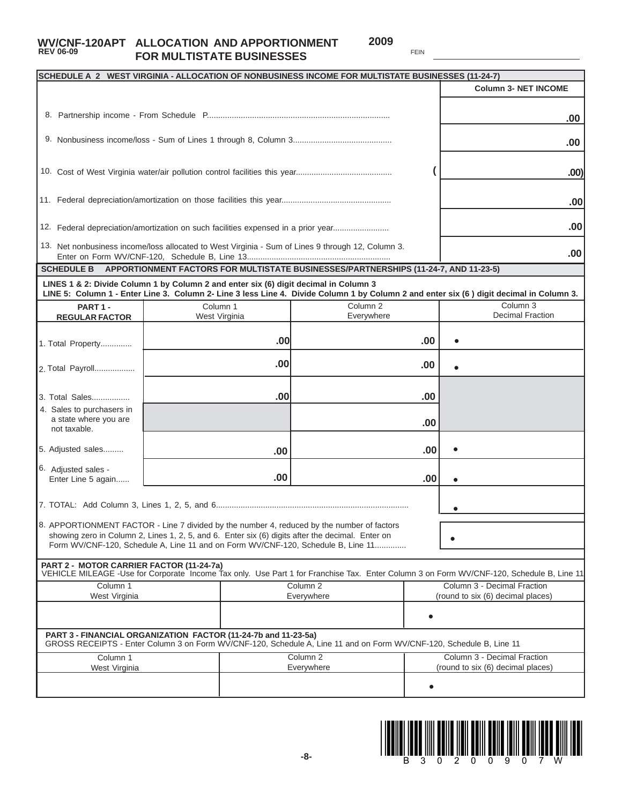## **WV/CNF-120APT ALLOCATION AND APPORTIONMENT 2009**<br>REV 06-09 FOR MULTISTATE BLISINESSES **FOR MULTISTATE BUSINESSES**

**2009**

|                                                                    | SCHEDULE A 2 WEST VIRGINIA - ALLOCATION OF NONBUSINESS INCOME FOR MULTISTATE BUSINESSES (11-24-7)                                                                                                                                                                                  |                                   | <b>Column 3- NET INCOME</b>                                                                                                              |
|--------------------------------------------------------------------|------------------------------------------------------------------------------------------------------------------------------------------------------------------------------------------------------------------------------------------------------------------------------------|-----------------------------------|------------------------------------------------------------------------------------------------------------------------------------------|
|                                                                    |                                                                                                                                                                                                                                                                                    |                                   | .00                                                                                                                                      |
|                                                                    |                                                                                                                                                                                                                                                                                    |                                   | .00                                                                                                                                      |
|                                                                    |                                                                                                                                                                                                                                                                                    |                                   |                                                                                                                                          |
|                                                                    |                                                                                                                                                                                                                                                                                    |                                   | .00)                                                                                                                                     |
|                                                                    |                                                                                                                                                                                                                                                                                    |                                   | .00                                                                                                                                      |
|                                                                    | 12. Federal depreciation/amortization on such facilities expensed in a prior year                                                                                                                                                                                                  |                                   | .00                                                                                                                                      |
|                                                                    | 13. Net nonbusiness income/loss allocated to West Virginia - Sum of Lines 9 through 12, Column 3.                                                                                                                                                                                  |                                   | .00                                                                                                                                      |
| <b>SCHEDULE B</b>                                                  | APPORTIONMENT FACTORS FOR MULTISTATE BUSINESSES/PARTNERSHIPS (11-24-7, AND 11-23-5)                                                                                                                                                                                                |                                   |                                                                                                                                          |
|                                                                    | LINES 1 & 2: Divide Column 1 by Column 2 and enter six (6) digit decimal in Column 3                                                                                                                                                                                               |                                   | LINE 5: Column 1 - Enter Line 3. Column 2- Line 3 less Line 4. Divide Column 1 by Column 2 and enter six (6) digit decimal in Column 3.  |
| PART 1-<br><b>REGULAR FACTOR</b>                                   | Column 1<br>West Virginia                                                                                                                                                                                                                                                          | Column <sub>2</sub><br>Everywhere | Column 3<br><b>Decimal Fraction</b>                                                                                                      |
| 1. Total Property                                                  | .00                                                                                                                                                                                                                                                                                | .00                               |                                                                                                                                          |
| 2. Total Payroll                                                   | .00                                                                                                                                                                                                                                                                                | .00.                              |                                                                                                                                          |
| 3. Total Sales                                                     | .00                                                                                                                                                                                                                                                                                | .00                               |                                                                                                                                          |
| 4. Sales to purchasers in<br>a state where you are<br>not taxable. |                                                                                                                                                                                                                                                                                    |                                   | .00                                                                                                                                      |
| 5. Adjusted sales                                                  | .00                                                                                                                                                                                                                                                                                |                                   | .00                                                                                                                                      |
| 6. Adjusted sales -<br>Enter Line 5 again                          | .00                                                                                                                                                                                                                                                                                |                                   | .00                                                                                                                                      |
|                                                                    |                                                                                                                                                                                                                                                                                    |                                   |                                                                                                                                          |
|                                                                    | 8. APPORTIONMENT FACTOR - Line 7 divided by the number 4, reduced by the number of factors<br>showing zero in Column 2, Lines 1, 2, 5, and 6. Enter six (6) digits after the decimal. Enter on<br>Form WV/CNF-120, Schedule A. Line 11 and on Form WV/CNF-120, Schedule B. Line 11 |                                   |                                                                                                                                          |
| PART 2 - MOTOR CARRIER FACTOR (11-24-7a)                           |                                                                                                                                                                                                                                                                                    |                                   | VEHICLE MILEAGE -Use for Corporate Income Tax only. Use Part 1 for Franchise Tax. Enter Column 3 on Form WV/CNF-120, Schedule B, Line 11 |
| Column 1                                                           |                                                                                                                                                                                                                                                                                    | Column <sub>2</sub>               | Column 3 - Decimal Fraction                                                                                                              |
| West Virginia                                                      |                                                                                                                                                                                                                                                                                    | Everywhere                        | (round to six (6) decimal places)                                                                                                        |
|                                                                    | PART 3 - FINANCIAL ORGANIZATION FACTOR (11-24-7b and 11-23-5a)<br>GROSS RECEIPTS - Enter Column 3 on Form WV/CNF-120, Schedule A, Line 11 and on Form WV/CNF-120, Schedule B, Line 11                                                                                              |                                   |                                                                                                                                          |
| Column <sub>1</sub>                                                |                                                                                                                                                                                                                                                                                    | Column <sub>2</sub>               | Column 3 - Decimal Fraction                                                                                                              |
| West Virginia                                                      |                                                                                                                                                                                                                                                                                    | Everywhere                        | (round to six (6) decimal places)                                                                                                        |
|                                                                    |                                                                                                                                                                                                                                                                                    |                                   | $\bullet$                                                                                                                                |

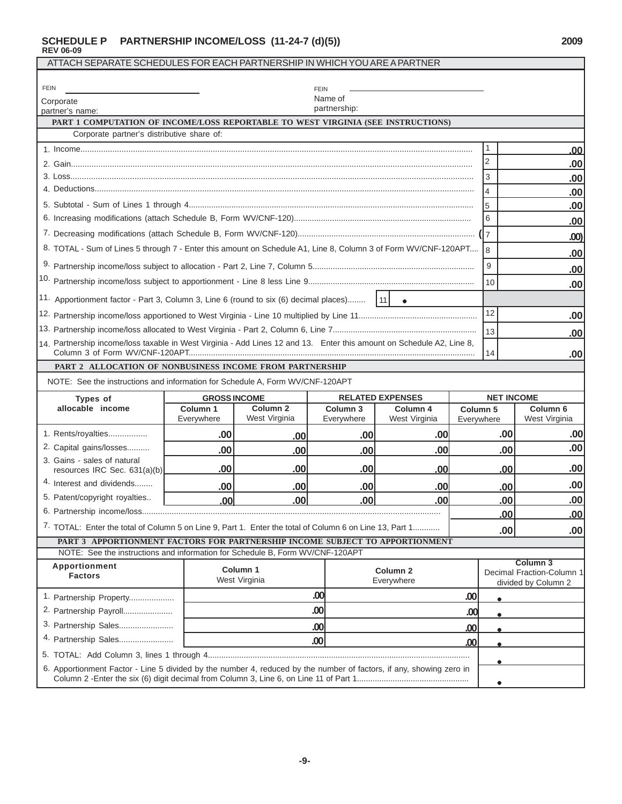#### **SCHEDULE P PARTNERSHIP INCOME/LOSS (11-24-7 (d)(5)) 2009 REV 06-09**

| ATTACH SEPARATE SCHEDULES FOR EACH PARTNERSHIP IN WHICH YOU ARE A PARTNER                                             |                                                                                 |                                      |                                   |                           |                        |                                                  |                                      |
|-----------------------------------------------------------------------------------------------------------------------|---------------------------------------------------------------------------------|--------------------------------------|-----------------------------------|---------------------------|------------------------|--------------------------------------------------|--------------------------------------|
| <b>FEIN</b>                                                                                                           |                                                                                 |                                      |                                   |                           |                        |                                                  |                                      |
| Corporate                                                                                                             |                                                                                 |                                      | <b>FEIN</b><br>Name of            |                           |                        |                                                  |                                      |
| partnership:<br>partner's name:                                                                                       |                                                                                 |                                      |                                   |                           |                        |                                                  |                                      |
| PART 1 COMPUTATION OF INCOME/LOSS REPORTABLE TO WEST VIRGINIA (SEE INSTRUCTIONS)                                      |                                                                                 |                                      |                                   |                           |                        |                                                  |                                      |
| Corporate partner's distributive share of:                                                                            |                                                                                 |                                      |                                   |                           |                        | 1                                                |                                      |
|                                                                                                                       |                                                                                 |                                      |                                   |                           |                        | $\overline{2}$                                   | .00                                  |
|                                                                                                                       |                                                                                 |                                      |                                   |                           |                        | $\sqrt{3}$                                       | .00 <sub>1</sub><br>.00              |
|                                                                                                                       |                                                                                 |                                      |                                   |                           |                        | $\overline{\mathbf{4}}$                          | .00                                  |
|                                                                                                                       |                                                                                 |                                      |                                   |                           |                        | l5                                               | .00 <sub>1</sub>                     |
|                                                                                                                       |                                                                                 |                                      |                                   |                           |                        | 6                                                | .00                                  |
|                                                                                                                       |                                                                                 |                                      |                                   |                           |                        |                                                  | .00)                                 |
| 8. TOTAL - Sum of Lines 5 through 7 - Enter this amount on Schedule A1, Line 8, Column 3 of Form WV/CNF-120APT        |                                                                                 |                                      |                                   |                           |                        | 8                                                |                                      |
|                                                                                                                       |                                                                                 |                                      |                                   |                           |                        | 9                                                | .00<br>.00                           |
|                                                                                                                       |                                                                                 |                                      |                                   |                           |                        | 10                                               | .00 <sub>1</sub>                     |
| 11. Apportionment factor - Part 3, Column 3, Line 6 (round to six (6) decimal places)                                 |                                                                                 |                                      |                                   | $\vert$ 11<br>$\bullet$   |                        |                                                  |                                      |
|                                                                                                                       | 12<br>.00 <sub>1</sub>                                                          |                                      |                                   |                           |                        |                                                  |                                      |
|                                                                                                                       |                                                                                 |                                      |                                   |                           |                        | 13                                               | .00                                  |
| 14. Partnership income/loss taxable in West Virginia - Add Lines 12 and 13. Enter this amount on Schedule A2, Line 8, |                                                                                 |                                      |                                   |                           |                        | 14                                               | .00                                  |
| PART 2 ALLOCATION OF NONBUSINESS INCOME FROM PARTNERSHIP                                                              |                                                                                 |                                      |                                   |                           |                        |                                                  |                                      |
| NOTE: See the instructions and information for Schedule A, Form WV/CNF-120APT                                         |                                                                                 |                                      |                                   |                           |                        |                                                  |                                      |
| Types of                                                                                                              | <b>GROSS INCOME</b>                                                             |                                      |                                   | <b>RELATED EXPENSES</b>   |                        | <b>NET INCOME</b>                                |                                      |
| allocable income                                                                                                      | Column 1<br>Everywhere                                                          | Column <sub>2</sub><br>West Virginia | Column <sub>3</sub><br>Everywhere | Column 4<br>West Virginia | Column 5<br>Everywhere |                                                  | Column <sub>6</sub><br>West Virginia |
| 1. Rents/royalties                                                                                                    | .00                                                                             | .00 <sub>1</sub>                     | .00                               | .00                       |                        | .00                                              | .00                                  |
| 2. Capital gains/losses                                                                                               | .00                                                                             | .00                                  | .00                               | .00                       |                        | .00                                              | .00                                  |
| 3. Gains - sales of natural<br>resources IRC Sec. 631(a)(b)                                                           | .00                                                                             | .00                                  | .00                               | .00                       |                        | .00                                              | .00                                  |
| 4. Interest and dividends                                                                                             | .00                                                                             | .00                                  | .00                               | .00                       |                        | .00                                              | .00                                  |
| 5. Patent/copyright royalties                                                                                         | .00                                                                             | .00                                  | .00                               | .00                       |                        | .00                                              | .00                                  |
|                                                                                                                       |                                                                                 |                                      |                                   |                           |                        | .00                                              | .00                                  |
| 7. TOTAL: Enter the total of Column 5 on Line 9, Part 1. Enter the total of Column 6 on Line 13, Part 1               |                                                                                 |                                      |                                   |                           |                        | .00                                              | .00                                  |
| PART 3 APPORTIONMENT FACTORS FOR PARTNERSHIP INCOME SUBJECT TO APPORTIONMENT                                          |                                                                                 |                                      |                                   |                           |                        |                                                  |                                      |
| NOTE: See the instructions and information for Schedule B, Form WV/CNF-120APT                                         |                                                                                 |                                      |                                   |                           |                        |                                                  | Column <sub>3</sub>                  |
| <b>Factors</b>                                                                                                        | Apportionment<br>Column 1<br>Column <sub>2</sub><br>West Virginia<br>Everywhere |                                      |                                   |                           |                        | Decimal Fraction-Column 1<br>divided by Column 2 |                                      |
|                                                                                                                       |                                                                                 |                                      | .00                               |                           | .00                    | $\bullet$                                        |                                      |
| 1. Partnership Property                                                                                               |                                                                                 |                                      |                                   |                           |                        |                                                  |                                      |
| 2. Partnership Payroll                                                                                                |                                                                                 |                                      | .00                               |                           | .00                    |                                                  |                                      |
| 3. Partnership Sales                                                                                                  |                                                                                 |                                      | .00                               |                           | .00                    |                                                  |                                      |
| 4. Partnership Sales                                                                                                  |                                                                                 |                                      | .00                               |                           | .00                    |                                                  |                                      |
|                                                                                                                       |                                                                                 |                                      |                                   |                           |                        |                                                  |                                      |
| 6. Apportionment Factor - Line 5 divided by the number 4, reduced by the number of factors, if any, showing zero in   |                                                                                 |                                      |                                   |                           |                        | $\bullet$                                        |                                      |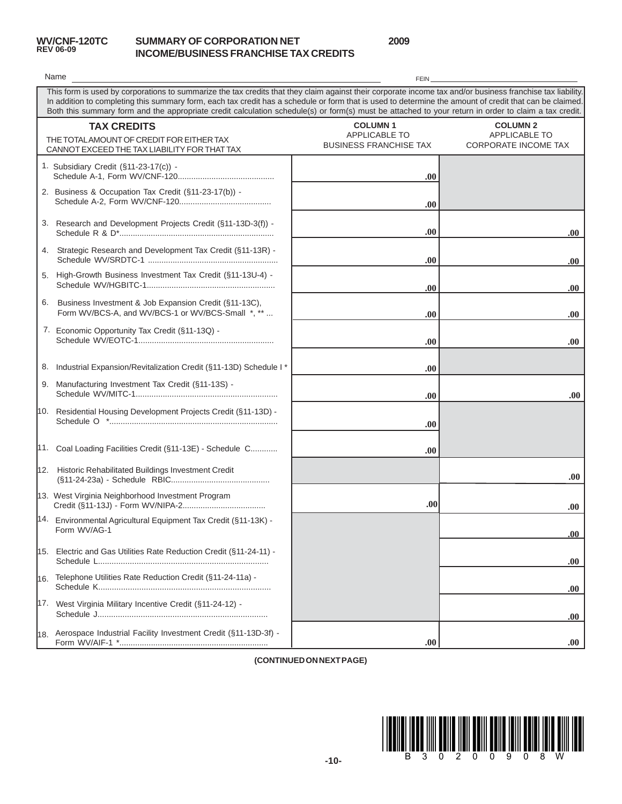

### **SUMMARY OF CORPORATION NET INCOME/BUSINESS FRANCHISE TAX CREDITS**

**2009**

|     | Name                                                                                                                                                                                                                                                                                                                                                                                                                                                                          | <b>FEIN</b>                                                             |                                                                        |  |  |  |  |  |
|-----|-------------------------------------------------------------------------------------------------------------------------------------------------------------------------------------------------------------------------------------------------------------------------------------------------------------------------------------------------------------------------------------------------------------------------------------------------------------------------------|-------------------------------------------------------------------------|------------------------------------------------------------------------|--|--|--|--|--|
|     | This form is used by corporations to summarize the tax credits that they claim against their corporate income tax and/or business franchise tax liability.<br>In addition to completing this summary form, each tax credit has a schedule or form that is used to determine the amount of credit that can be claimed.<br>Both this summary form and the appropriate credit calculation schedule(s) or form(s) must be attached to your return in order to claim a tax credit. |                                                                         |                                                                        |  |  |  |  |  |
|     | <b>TAX CREDITS</b><br>THE TOTAL AMOUNT OF CREDIT FOR EITHER TAX<br>CANNOT EXCEED THE TAX LIABILITY FOR THAT TAX                                                                                                                                                                                                                                                                                                                                                               | <b>COLUMN1</b><br><b>APPLICABLE TO</b><br><b>BUSINESS FRANCHISE TAX</b> | <b>COLUMN 2</b><br><b>APPLICABLE TO</b><br><b>CORPORATE INCOME TAX</b> |  |  |  |  |  |
|     | 1. Subsidiary Credit (§11-23-17(c)) -                                                                                                                                                                                                                                                                                                                                                                                                                                         | .00                                                                     |                                                                        |  |  |  |  |  |
|     | 2. Business & Occupation Tax Credit (§11-23-17(b)) -                                                                                                                                                                                                                                                                                                                                                                                                                          | .00                                                                     |                                                                        |  |  |  |  |  |
|     | 3. Research and Development Projects Credit (§11-13D-3(f)) -                                                                                                                                                                                                                                                                                                                                                                                                                  | .00.                                                                    | .00                                                                    |  |  |  |  |  |
|     | 4. Strategic Research and Development Tax Credit (§11-13R) -                                                                                                                                                                                                                                                                                                                                                                                                                  | .00                                                                     | .00.                                                                   |  |  |  |  |  |
|     | 5. High-Growth Business Investment Tax Credit (§11-13U-4) -                                                                                                                                                                                                                                                                                                                                                                                                                   | .00                                                                     | .00.                                                                   |  |  |  |  |  |
| 6.  | Business Investment & Job Expansion Credit (§11-13C),<br>Form WV/BCS-A, and WV/BCS-1 or WV/BCS-Small *, **                                                                                                                                                                                                                                                                                                                                                                    | .00                                                                     | .00.                                                                   |  |  |  |  |  |
|     | 7. Economic Opportunity Tax Credit (§11-13Q) -                                                                                                                                                                                                                                                                                                                                                                                                                                | .00                                                                     | .00                                                                    |  |  |  |  |  |
|     | 8. Industrial Expansion/Revitalization Credit (§11-13D) Schedule I*                                                                                                                                                                                                                                                                                                                                                                                                           | .00                                                                     |                                                                        |  |  |  |  |  |
|     | 9. Manufacturing Investment Tax Credit (§11-13S) -                                                                                                                                                                                                                                                                                                                                                                                                                            | .00                                                                     | .00.                                                                   |  |  |  |  |  |
|     | 10. Residential Housing Development Projects Credit (§11-13D) -                                                                                                                                                                                                                                                                                                                                                                                                               | .00                                                                     |                                                                        |  |  |  |  |  |
|     | 11. Coal Loading Facilities Credit (§11-13E) - Schedule C                                                                                                                                                                                                                                                                                                                                                                                                                     | .00.                                                                    |                                                                        |  |  |  |  |  |
|     | 12. Historic Rehabilitated Buildings Investment Credit                                                                                                                                                                                                                                                                                                                                                                                                                        |                                                                         | .00.                                                                   |  |  |  |  |  |
|     | 13. West Virginia Neighborhood Investment Program                                                                                                                                                                                                                                                                                                                                                                                                                             | .00                                                                     | .00.                                                                   |  |  |  |  |  |
|     | 14. Environmental Agricultural Equipment Tax Credit (§11-13K) -<br>Form WV/AG-1                                                                                                                                                                                                                                                                                                                                                                                               |                                                                         | .00                                                                    |  |  |  |  |  |
|     | 15. Electric and Gas Utilities Rate Reduction Credit (§11-24-11) -                                                                                                                                                                                                                                                                                                                                                                                                            |                                                                         | .00.                                                                   |  |  |  |  |  |
| 16. | Telephone Utilities Rate Reduction Credit (§11-24-11a) -                                                                                                                                                                                                                                                                                                                                                                                                                      |                                                                         | .00.                                                                   |  |  |  |  |  |
|     | 17. West Virginia Military Incentive Credit (§11-24-12) -                                                                                                                                                                                                                                                                                                                                                                                                                     |                                                                         | .00                                                                    |  |  |  |  |  |
|     | 18. Aerospace Industrial Facility Investment Credit (§11-13D-3f) -                                                                                                                                                                                                                                                                                                                                                                                                            | .00.                                                                    | .00.                                                                   |  |  |  |  |  |

**(CONTINUED ON NEXT PAGE)**

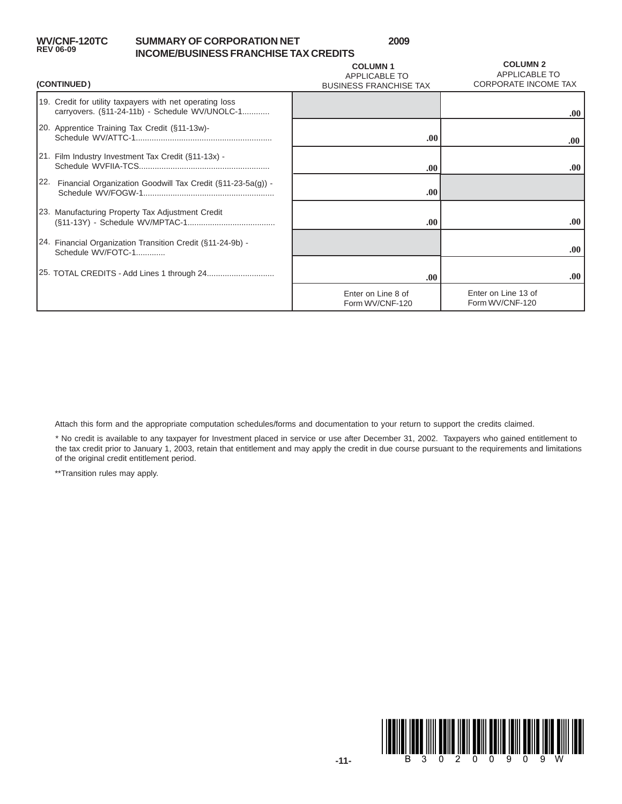### **SUMMARY OF CORPORATION NET INCOME/BUSINESS FRANCHISE TAX CREDITS**

**2009**

| (CONTINUED)                                                                                                | <b>COLUMN1</b><br><b>APPLICABLE TO</b><br><b>BUSINESS FRANCHISE TAX</b> | <b>COLUMN 2</b><br><b>APPLICABLE TO</b><br><b>CORPORATE INCOME TAX</b> |
|------------------------------------------------------------------------------------------------------------|-------------------------------------------------------------------------|------------------------------------------------------------------------|
| 19. Credit for utility taxpayers with net operating loss<br>carryovers. (§11-24-11b) - Schedule WV/UNOLC-1 |                                                                         | .00.                                                                   |
| 20. Apprentice Training Tax Credit (§11-13w)-                                                              | .00.                                                                    | .00.                                                                   |
| [21. Film Industry Investment Tax Credit (§11-13x) -                                                       | .00.                                                                    | .00.                                                                   |
| 22.<br>Financial Organization Goodwill Tax Credit (§11-23-5a(g)) -                                         | .00.                                                                    |                                                                        |
| 23. Manufacturing Property Tax Adjustment Credit                                                           | .00.                                                                    | .00.                                                                   |
| 24. Financial Organization Transition Credit (§11-24-9b) -<br>Schedule WV/FOTC-1                           |                                                                         | .00.                                                                   |
| 25. TOTAL CREDITS - Add Lines 1 through 24                                                                 | .00.                                                                    | .00.                                                                   |
|                                                                                                            | Enter on Line 8 of<br>Form WV/CNF-120                                   | Enter on Line 13 of<br>Form WV/CNF-120                                 |

Attach this form and the appropriate computation schedules/forms and documentation to your return to support the credits claimed.

\* No credit is available to any taxpayer for Investment placed in service or use after December 31, 2002. Taxpayers who gained entitlement to the tax credit prior to January 1, 2003, retain that entitlement and may apply the credit in due course pursuant to the requirements and limitations of the original credit entitlement period.

\*\*Transition rules may apply.

**WV/CNF-120TC**<br>REV 06-09

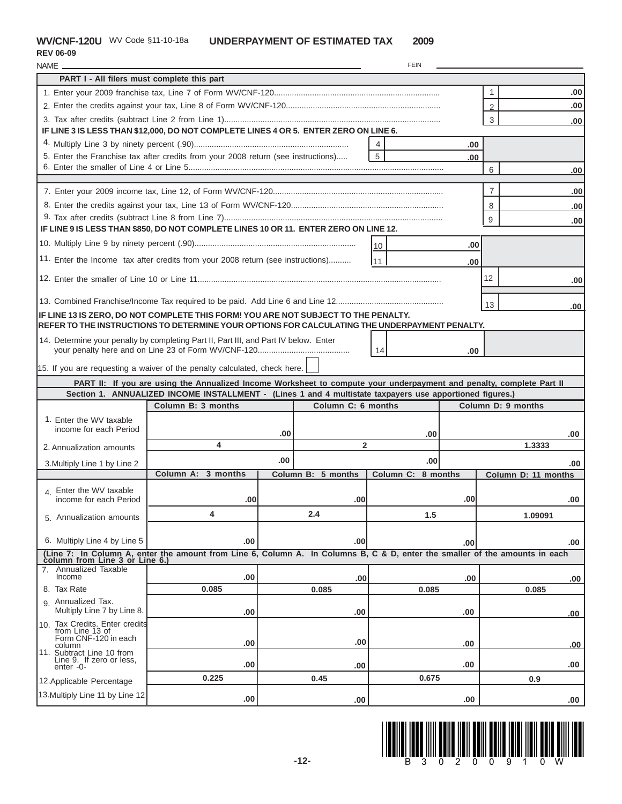**REV 06-09**

| NAME_                                                  |                                                                                                                             |     |                    | <b>FEIN</b>        |                  |                     |                  |
|--------------------------------------------------------|-----------------------------------------------------------------------------------------------------------------------------|-----|--------------------|--------------------|------------------|---------------------|------------------|
| PART I - All filers must complete this part            |                                                                                                                             |     |                    |                    |                  |                     |                  |
|                                                        |                                                                                                                             |     |                    |                    |                  | 1                   | .00.             |
|                                                        |                                                                                                                             |     |                    |                    |                  | $\mathfrak{D}$      | .00              |
|                                                        |                                                                                                                             |     |                    |                    |                  | 3                   | .00              |
|                                                        | IF LINE 3 IS LESS THAN \$12,000, DO NOT COMPLETE LINES 4 OR 5. ENTER ZERO ON LINE 6.                                        |     |                    |                    |                  |                     |                  |
|                                                        |                                                                                                                             |     |                    |                    | .00              |                     |                  |
|                                                        | 5. Enter the Franchise tax after credits from your 2008 return (see instructions)                                           |     |                    | 5                  | .00              |                     |                  |
|                                                        |                                                                                                                             |     |                    |                    |                  | 6                   | .00              |
|                                                        |                                                                                                                             |     |                    |                    |                  |                     |                  |
|                                                        |                                                                                                                             |     |                    |                    |                  | 7                   | .00              |
|                                                        |                                                                                                                             |     |                    |                    |                  | 8                   | .00 <sub>1</sub> |
|                                                        | IF LINE 9 IS LESS THAN \$850, DO NOT COMPLETE LINES 10 OR 11. ENTER ZERO ON LINE 12.                                        |     |                    |                    |                  | 9                   | .00              |
|                                                        |                                                                                                                             |     |                    |                    |                  |                     |                  |
|                                                        |                                                                                                                             |     |                    | 110                | .00              |                     |                  |
|                                                        | 11. Enter the Income tax after credits from your 2008 return (see instructions)                                             |     |                    | 111                | .00              |                     |                  |
|                                                        |                                                                                                                             |     |                    |                    |                  | 12                  | .00              |
|                                                        |                                                                                                                             |     |                    |                    |                  |                     |                  |
|                                                        |                                                                                                                             |     |                    |                    |                  | 13                  | .00              |
|                                                        | IF LINE 13 IS ZERO, DO NOT COMPLETE THIS FORM! YOU ARE NOT SUBJECT TO THE PENALTY.                                          |     |                    |                    |                  |                     |                  |
|                                                        | REFER TO THE INSTRUCTIONS TO DETERMINE YOUR OPTIONS FOR CALCULATING THE UNDERPAYMENT PENALTY.                               |     |                    |                    |                  |                     |                  |
|                                                        | 14. Determine your penalty by completing Part II, Part III, and Part IV below. Enter                                        |     |                    | 14                 | .00              |                     |                  |
|                                                        | 15. If you are requesting a waiver of the penalty calculated, check here.                                                   |     |                    |                    |                  |                     |                  |
|                                                        | PART II: If you are using the Annualized Income Worksheet to compute your underpayment and penalty, complete Part II        |     |                    |                    |                  |                     |                  |
|                                                        | Section 1. ANNUALIZED INCOME INSTALLMENT - (Lines 1 and 4 multistate taxpayers use apportioned figures.)                    |     |                    |                    |                  |                     |                  |
|                                                        | Column B: 3 months                                                                                                          |     | Column C: 6 months |                    |                  | Column D: 9 months  |                  |
| 1. Enter the WV taxable                                |                                                                                                                             |     |                    |                    |                  |                     |                  |
| income for each Period                                 |                                                                                                                             | .00 |                    | .00                |                  |                     | .00              |
| 2. Annualization amounts                               | 4                                                                                                                           |     | $\overline{2}$     |                    |                  | 1.3333              |                  |
| 3. Multiply Line 1 by Line 2                           |                                                                                                                             | .00 |                    | .00                |                  |                     | .00              |
|                                                        | Column A: 3 months                                                                                                          |     | Column B: 5 months | Column C: 8 months |                  | Column D: 11 months |                  |
| 4. Enter the WV taxable                                |                                                                                                                             |     |                    |                    |                  |                     |                  |
| income for each Period                                 | .00                                                                                                                         |     | .00                |                    | .00 <sub>l</sub> |                     | .00              |
| 5. Annualization amounts                               | 4                                                                                                                           |     | 2.4                | 1.5                |                  | 1.09091             |                  |
|                                                        |                                                                                                                             |     |                    |                    |                  |                     |                  |
| 6. Multiply Line 4 by Line 5                           | .00                                                                                                                         |     | .00                |                    | .00              |                     | .00              |
|                                                        | (Line 7: In Column A, enter the amount from Line 6, Column A. In Columns B, C & D, enter the smaller of the amounts in each |     |                    |                    |                  |                     |                  |
| column from Line 3 or Line 6.<br>7. Annualized Taxable |                                                                                                                             |     |                    |                    |                  |                     |                  |
| Income                                                 | .00                                                                                                                         |     | .00                |                    | .00.             |                     | .00              |
| 8. Tax Rate                                            | 0.085                                                                                                                       |     | 0.085              | 0.085              |                  | 0.085               |                  |
| 9. Annualized Tax.<br>Multiply Line 7 by Line 8.       | .00                                                                                                                         |     | .00                |                    | .00              |                     | .00              |
| 10. Tax Credits. Enter credits                         |                                                                                                                             |     |                    |                    |                  |                     |                  |
| from Line 13 of<br>Form CNF-120 in each                | .00                                                                                                                         |     | .00                |                    | .00.             |                     | .00              |
| column<br>11. Subtract Line 10 from                    |                                                                                                                             |     |                    |                    |                  |                     |                  |
| Line 9. If zero or less,<br>enter -0-                  | .00                                                                                                                         |     | .00                |                    | .00              |                     | .00              |
| 12. Applicable Percentage                              | 0.225                                                                                                                       |     | 0.45               | 0.675              |                  | 0.9                 |                  |
| 13. Multiply Line 11 by Line 12                        |                                                                                                                             |     |                    |                    |                  |                     |                  |
|                                                        | .00                                                                                                                         |     | .00                |                    | .00              |                     | .00.             |

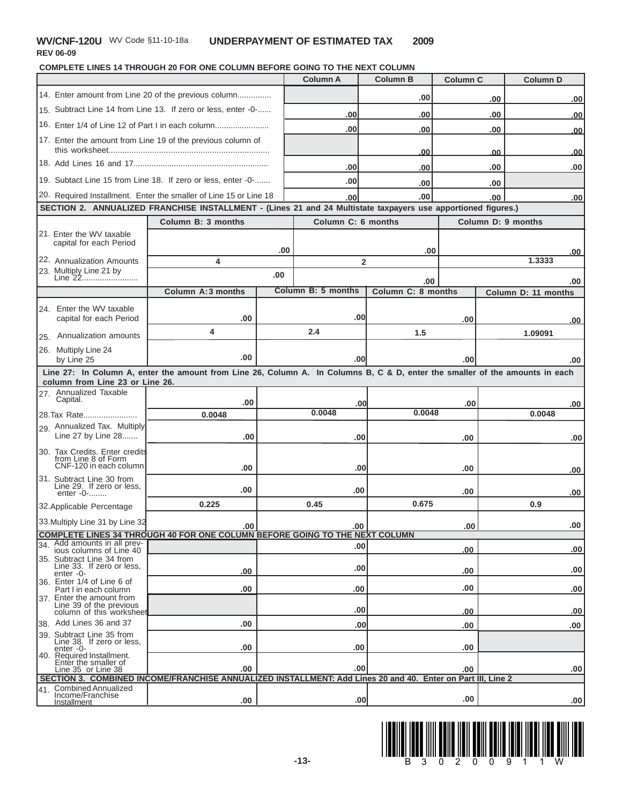### **WV/CNF-120U** WV Code §11-10-18a

**REV 06-09**

**COMPLETE LINES 14 THROUGH 20 FOR ONE COLUMN BEFORE GOING TO THE NEXT COLUMN**

|                                                                                 |                                                                                                                              |     | <b>Column A</b>    | <b>Column B</b>    | <b>Column C</b> |            | <b>Column D</b>     |            |
|---------------------------------------------------------------------------------|------------------------------------------------------------------------------------------------------------------------------|-----|--------------------|--------------------|-----------------|------------|---------------------|------------|
|                                                                                 |                                                                                                                              |     |                    | .00                |                 | .00        |                     | .00        |
|                                                                                 | 15. Subtract Line 14 from Line 13. If zero or less, enter -0-                                                                |     | .00                | .00                |                 | .00        |                     | <u>.00</u> |
|                                                                                 | 16. Enter 1/4 of Line 12 of Part I in each column                                                                            |     | .00                | .00                |                 | .00        |                     | .00        |
|                                                                                 | 17. Enter the amount from Line 19 of the previous column of                                                                  |     |                    | <u>.00</u>         |                 |            |                     |            |
|                                                                                 |                                                                                                                              |     | .00                |                    |                 | 00<br>.00  |                     | <u>.00</u> |
|                                                                                 | 19. Subtact Line 15 from Line 18. If zero or less, enter -0-                                                                 |     | .00                | .00                |                 |            |                     | .00        |
|                                                                                 | 20. Required Installment. Enter the smaller of Line 15 or Line 18                                                            |     | .00                | .00<br>.00         |                 | .00<br>.00 |                     | .00        |
|                                                                                 | SECTION 2. ANNUALIZED FRANCHISE INSTALLMENT - (Lines 21 and 24 Multistate taxpayers use apportioned figures.)                |     |                    |                    |                 |            |                     |            |
|                                                                                 | Column B: 3 months                                                                                                           |     | Column C: 6 months |                    |                 |            | Column D: 9 months  |            |
| 21. Enter the WV taxable<br>capital for each Period                             |                                                                                                                              |     |                    |                    |                 |            |                     |            |
|                                                                                 |                                                                                                                              | .00 |                    | .00                |                 |            |                     | .00        |
| 22. Annualization Amounts<br>23. Multiply Line 21 by                            | 4                                                                                                                            |     | 2                  |                    |                 |            | 1.3333              |            |
| Line 22                                                                         |                                                                                                                              | .00 |                    | .00                |                 |            |                     | .00        |
|                                                                                 | Column A:3 months                                                                                                            |     | Column B: 5 months | Column C: 8 months |                 |            | Column D: 11 months |            |
| 24. Enter the WV taxable                                                        |                                                                                                                              |     |                    |                    |                 |            |                     |            |
| capital for each Period                                                         | .00                                                                                                                          |     | .00                |                    | .00             |            |                     | .00        |
| 25. Annualization amounts                                                       | 4                                                                                                                            |     | 2.4                | 1.5                |                 |            | 1.09091             |            |
| 26. Multiply Line 24<br>by Line 25                                              | .00                                                                                                                          |     | .00                |                    | .00             |            |                     | .00        |
|                                                                                 | Line 27: In Column A, enter the amount from Line 26, Column A. In Columns B, C & D, enter the smaller of the amounts in each |     |                    |                    |                 |            |                     |            |
| column from Line 23 or Line 26.<br>27. Annualized Taxable                       |                                                                                                                              |     |                    |                    |                 |            |                     |            |
| Capital.                                                                        | .00                                                                                                                          |     | .00                |                    | .00             |            |                     | .00        |
| 28. Tax Rate                                                                    | 0.0048                                                                                                                       |     | 0.0048             | 0.0048             |                 |            | 0.0048              |            |
| 29. Annualized Tax. Multiply<br>Line 27 by Line 28                              | .00                                                                                                                          |     | .00                |                    | .00             |            |                     | .00        |
| 30. Tax Credits. Enter credits<br>from Line 8 of Form<br>CNF-120 in each column | .00                                                                                                                          |     | .00                |                    | .00             |            |                     |            |
| 31. Subtract Line 30 from                                                       |                                                                                                                              |     |                    |                    |                 |            |                     | .00        |
| Line 29. If zero or less,<br>enter -0-                                          | .00                                                                                                                          |     | .00                |                    | .00             |            |                     | .00        |
| 32. Applicable Percentage                                                       | 0.225                                                                                                                        |     | 0.45               | 0.675              |                 |            | 0.9                 |            |
| 33. Multiply Line 31 by Line 32                                                 | .00 <sub>1</sub>                                                                                                             |     | .00                |                    | .00 l           |            |                     | .00        |
| Add amounts in all prev-                                                        | <b>COMPLETE LINES 34 THROUGH 40 FOR ONE COLUMN BEFORE GOING TO THE NEXT COLUMN</b>                                           |     |                    |                    |                 |            |                     |            |
| 34 <sub>1</sub><br>ious columns of Line 40                                      |                                                                                                                              |     | .00                |                    | .00             |            |                     | .00        |
| 35. Subtract Line 34 from<br>Line 33. If zero or less,<br>$enter -0-$           | .00                                                                                                                          |     | .00                |                    | .00             |            |                     | .00        |
| 36. Enter 1/4 of Line 6 of<br>Part I in each column                             | .00                                                                                                                          |     | .00                |                    | .00             |            |                     | .00        |
| 37. Enter the amount from<br>Line 39 of the previous                            |                                                                                                                              |     | .00                |                    |                 |            |                     |            |
| column of this worksheet<br>38. Add Lines 36 and 37                             | .00                                                                                                                          |     | .00                |                    | .00<br>.00      |            |                     | .00<br>.00 |
| 39. Subtract Line 35 from<br>Line 38. If zero or less,                          |                                                                                                                              |     |                    |                    |                 |            |                     |            |
| enter -0-<br>40. Required Installment.                                          | .00                                                                                                                          |     | .00                |                    | .00             |            |                     |            |
| Enter the smaller of<br>Line 35 or Line 38                                      | .00                                                                                                                          |     | .00                |                    | .00             |            |                     | .00        |
|                                                                                 | SECTION 3. COMBINED INCOME/FRANCHISE ANNUALIZED INSTALLMENT: Add Lines 20 and 40. Enter on Part III, Line 2                  |     |                    |                    |                 |            |                     |            |
| <b>Combined Annualized</b><br>41.<br>Income/Franchise                           |                                                                                                                              |     | .00                |                    | .00             |            |                     |            |
| Installment                                                                     | .00                                                                                                                          |     |                    |                    |                 |            |                     | .00        |

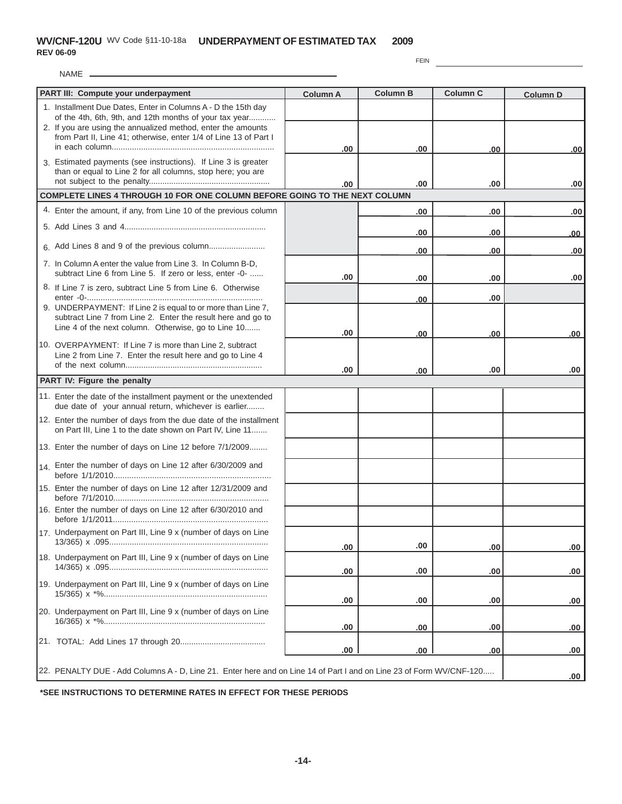NAME

FEIN

| 1. Installment Due Dates, Enter in Columns A - D the 15th day<br>of the 4th, 6th, 9th, and 12th months of your tax year<br>2. If you are using the annualized method, enter the amounts<br>from Part II, Line 41; otherwise, enter 1/4 of Line 13 of Part I<br>.00<br>.00<br>.00<br> 00 <br>3. Estimated payments (see instructions). If Line 3 is greater<br>than or equal to Line 2 for all columns, stop here; you are<br>.00<br>.00<br>.00<br>.00<br>COMPLETE LINES 4 THROUGH 10 FOR ONE COLUMN BEFORE GOING TO THE NEXT COLUMN<br>4. Enter the amount, if any, from Line 10 of the previous column<br>.00<br>.00<br>.00<br>.00<br>.00<br>.00<br>.00 | PART III: Compute your underpayment | <b>Column A</b> | <b>Column B</b> | <b>Column C</b> | <b>Column D</b> |
|----------------------------------------------------------------------------------------------------------------------------------------------------------------------------------------------------------------------------------------------------------------------------------------------------------------------------------------------------------------------------------------------------------------------------------------------------------------------------------------------------------------------------------------------------------------------------------------------------------------------------------------------------------|-------------------------------------|-----------------|-----------------|-----------------|-----------------|
|                                                                                                                                                                                                                                                                                                                                                                                                                                                                                                                                                                                                                                                          |                                     |                 |                 |                 |                 |
|                                                                                                                                                                                                                                                                                                                                                                                                                                                                                                                                                                                                                                                          |                                     |                 |                 |                 |                 |
|                                                                                                                                                                                                                                                                                                                                                                                                                                                                                                                                                                                                                                                          |                                     |                 |                 |                 |                 |
|                                                                                                                                                                                                                                                                                                                                                                                                                                                                                                                                                                                                                                                          |                                     |                 |                 |                 |                 |
|                                                                                                                                                                                                                                                                                                                                                                                                                                                                                                                                                                                                                                                          |                                     |                 |                 |                 |                 |
|                                                                                                                                                                                                                                                                                                                                                                                                                                                                                                                                                                                                                                                          |                                     |                 |                 |                 |                 |
|                                                                                                                                                                                                                                                                                                                                                                                                                                                                                                                                                                                                                                                          |                                     |                 |                 |                 |                 |
|                                                                                                                                                                                                                                                                                                                                                                                                                                                                                                                                                                                                                                                          |                                     |                 |                 |                 |                 |
|                                                                                                                                                                                                                                                                                                                                                                                                                                                                                                                                                                                                                                                          |                                     |                 |                 |                 | .00             |
|                                                                                                                                                                                                                                                                                                                                                                                                                                                                                                                                                                                                                                                          |                                     |                 |                 |                 | .00             |
| 7. In Column A enter the value from Line 3. In Column B-D,<br>subtract Line 6 from Line 5. If zero or less, enter -0-                                                                                                                                                                                                                                                                                                                                                                                                                                                                                                                                    |                                     |                 |                 |                 |                 |
| .00<br>.00<br>.00<br>8. If Line 7 is zero, subtract Line 5 from Line 6. Otherwise                                                                                                                                                                                                                                                                                                                                                                                                                                                                                                                                                                        |                                     |                 |                 |                 | .00             |
| .00<br>00                                                                                                                                                                                                                                                                                                                                                                                                                                                                                                                                                                                                                                                |                                     |                 |                 |                 |                 |
| 9. UNDERPAYMENT: If Line 2 is equal to or more than Line 7.<br>subtract Line 7 from Line 2. Enter the result here and go to                                                                                                                                                                                                                                                                                                                                                                                                                                                                                                                              |                                     |                 |                 |                 |                 |
| Line 4 of the next column. Otherwise, go to Line 10<br>.00<br>.00<br>.00                                                                                                                                                                                                                                                                                                                                                                                                                                                                                                                                                                                 |                                     |                 |                 |                 | .00             |
| 10. OVERPAYMENT: If Line 7 is more than Line 2, subtract                                                                                                                                                                                                                                                                                                                                                                                                                                                                                                                                                                                                 |                                     |                 |                 |                 |                 |
| Line 2 from Line 7. Enter the result here and go to Line 4                                                                                                                                                                                                                                                                                                                                                                                                                                                                                                                                                                                               |                                     |                 |                 |                 |                 |
| .00<br>.00<br>.00<br>.00<br>PART IV: Figure the penalty                                                                                                                                                                                                                                                                                                                                                                                                                                                                                                                                                                                                  |                                     |                 |                 |                 |                 |
| 11. Enter the date of the installment payment or the unextended                                                                                                                                                                                                                                                                                                                                                                                                                                                                                                                                                                                          |                                     |                 |                 |                 |                 |
| due date of your annual return, whichever is earlier                                                                                                                                                                                                                                                                                                                                                                                                                                                                                                                                                                                                     |                                     |                 |                 |                 |                 |
| 12. Enter the number of days from the due date of the installment<br>on Part III, Line 1 to the date shown on Part IV, Line 11                                                                                                                                                                                                                                                                                                                                                                                                                                                                                                                           |                                     |                 |                 |                 |                 |
| 13. Enter the number of days on Line 12 before 7/1/2009                                                                                                                                                                                                                                                                                                                                                                                                                                                                                                                                                                                                  |                                     |                 |                 |                 |                 |
| 14. Enter the number of days on Line 12 after 6/30/2009 and                                                                                                                                                                                                                                                                                                                                                                                                                                                                                                                                                                                              |                                     |                 |                 |                 |                 |
| 15. Enter the number of days on Line 12 after 12/31/2009 and                                                                                                                                                                                                                                                                                                                                                                                                                                                                                                                                                                                             |                                     |                 |                 |                 |                 |
| 16. Enter the number of days on Line 12 after 6/30/2010 and                                                                                                                                                                                                                                                                                                                                                                                                                                                                                                                                                                                              |                                     |                 |                 |                 |                 |
| 17. Underpayment on Part III, Line 9 x (number of days on Line                                                                                                                                                                                                                                                                                                                                                                                                                                                                                                                                                                                           |                                     |                 |                 |                 |                 |
| .00<br>.00<br>.00                                                                                                                                                                                                                                                                                                                                                                                                                                                                                                                                                                                                                                        |                                     |                 |                 |                 | .00             |
| 18. Underpayment on Part III, Line 9 x (number of days on Line<br>.00<br>.00                                                                                                                                                                                                                                                                                                                                                                                                                                                                                                                                                                             |                                     |                 |                 |                 |                 |
| .00<br>19. Underpayment on Part III, Line 9 x (number of days on Line                                                                                                                                                                                                                                                                                                                                                                                                                                                                                                                                                                                    |                                     |                 |                 |                 | .00             |
| .00<br>.00<br>.00<br>.00                                                                                                                                                                                                                                                                                                                                                                                                                                                                                                                                                                                                                                 |                                     |                 |                 |                 |                 |
| 20. Underpayment on Part III, Line 9 x (number of days on Line                                                                                                                                                                                                                                                                                                                                                                                                                                                                                                                                                                                           |                                     |                 |                 |                 |                 |
| .00<br>.00<br>.00<br>.00                                                                                                                                                                                                                                                                                                                                                                                                                                                                                                                                                                                                                                 |                                     |                 |                 |                 |                 |
| .00<br>.00<br>.00                                                                                                                                                                                                                                                                                                                                                                                                                                                                                                                                                                                                                                        |                                     |                 |                 |                 | .00             |
| 22. PENALTY DUE - Add Columns A - D, Line 21. Enter here and on Line 14 of Part I and on Line 23 of Form WV/CNF-120                                                                                                                                                                                                                                                                                                                                                                                                                                                                                                                                      |                                     |                 |                 |                 | .00             |

**\*SEE INSTRUCTIONS TO DETERMINE RATES IN EFFECT FOR THESE PERIODS**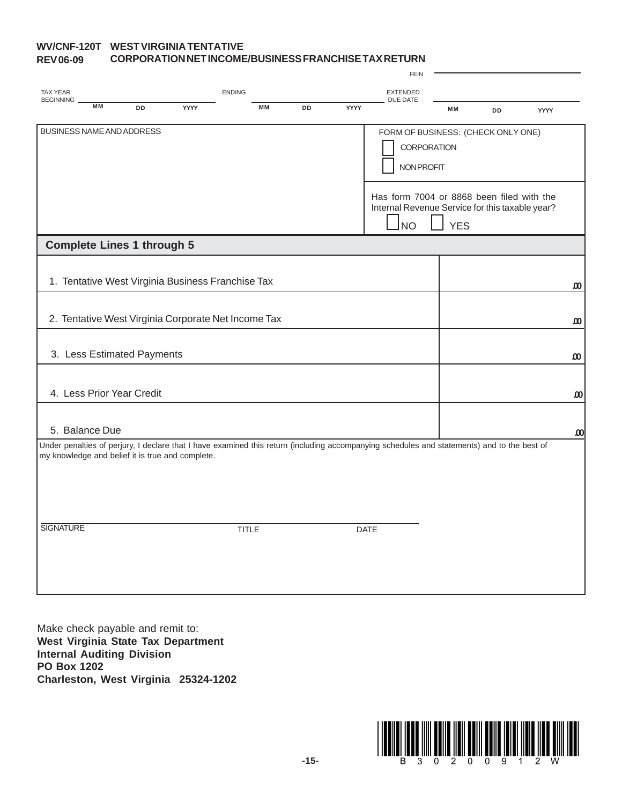#### **WV/CNF-120T WEST VIRGINIA TENTATIVE REV 06-09 CORPORATION NET INCOME/BUSINESS FRANCHISE TAX RETURN**

|                                                  |                           |                            |                                                     |               |           |    |      | <b>FEIN</b>                                                                                                                                 |            |           |             |                       |
|--------------------------------------------------|---------------------------|----------------------------|-----------------------------------------------------|---------------|-----------|----|------|---------------------------------------------------------------------------------------------------------------------------------------------|------------|-----------|-------------|-----------------------|
| <b>TAX YEAR</b>                                  |                           |                            |                                                     | <b>ENDING</b> |           |    |      | <b>EXTENDED</b>                                                                                                                             |            |           |             |                       |
| <b>BEGINNING</b>                                 | <b>MM</b>                 | DD                         | YYYY                                                |               | <b>MM</b> | DD | YYYY | <b>DUE DATE</b>                                                                                                                             | <b>MM</b>  | <b>DD</b> | <b>YYYY</b> |                       |
| BUSINESS NAME AND ADDRESS                        |                           |                            |                                                     |               |           |    |      | FORM OF BUSINESS: (CHECK ONLY ONE)                                                                                                          |            |           |             |                       |
|                                                  |                           |                            |                                                     |               |           |    |      | <b>CORPORATION</b><br><b>NONPROFIT</b>                                                                                                      |            |           |             |                       |
|                                                  |                           |                            |                                                     |               |           |    |      |                                                                                                                                             |            |           |             |                       |
|                                                  |                           |                            |                                                     |               |           |    |      | Has form 7004 or 8868 been filed with the<br>Internal Revenue Service for this taxable year?<br><b>NO</b>                                   | <b>YES</b> |           |             |                       |
| <b>Complete Lines 1 through 5</b>                |                           |                            |                                                     |               |           |    |      |                                                                                                                                             |            |           |             |                       |
|                                                  |                           |                            |                                                     |               |           |    |      |                                                                                                                                             |            |           |             |                       |
|                                                  |                           |                            | 1. Tentative West Virginia Business Franchise Tax   |               |           |    |      |                                                                                                                                             |            |           |             | $\boldsymbol{\omega}$ |
|                                                  |                           |                            |                                                     |               |           |    |      |                                                                                                                                             |            |           |             |                       |
|                                                  |                           |                            | 2. Tentative West Virginia Corporate Net Income Tax |               |           |    |      |                                                                                                                                             |            |           |             | ω                     |
|                                                  |                           | 3. Less Estimated Payments |                                                     |               |           |    |      |                                                                                                                                             |            |           |             | $\boldsymbol{\omega}$ |
|                                                  |                           |                            |                                                     |               |           |    |      |                                                                                                                                             |            |           |             |                       |
|                                                  | 4. Less Prior Year Credit |                            |                                                     |               |           |    |      |                                                                                                                                             |            |           |             | $\boldsymbol{\omega}$ |
|                                                  |                           |                            |                                                     |               |           |    |      |                                                                                                                                             |            |           |             |                       |
| 5. Balance Due                                   |                           |                            |                                                     |               |           |    |      |                                                                                                                                             |            |           |             | $\boldsymbol{\omega}$ |
| my knowledge and belief it is true and complete. |                           |                            |                                                     |               |           |    |      | Under penalties of perjury, I declare that I have examined this return (including accompanying schedules and statements) and to the best of |            |           |             |                       |
|                                                  |                           |                            |                                                     |               |           |    |      |                                                                                                                                             |            |           |             |                       |
|                                                  |                           |                            |                                                     |               |           |    |      |                                                                                                                                             |            |           |             |                       |
|                                                  |                           |                            |                                                     |               |           |    |      |                                                                                                                                             |            |           |             |                       |
| <b>SIGNATURE</b>                                 |                           |                            |                                                     | <b>TITLE</b>  |           |    |      | <b>DATE</b>                                                                                                                                 |            |           |             |                       |
|                                                  |                           |                            |                                                     |               |           |    |      |                                                                                                                                             |            |           |             |                       |
|                                                  |                           |                            |                                                     |               |           |    |      |                                                                                                                                             |            |           |             |                       |
|                                                  |                           |                            |                                                     |               |           |    |      |                                                                                                                                             |            |           |             |                       |

Make check payable and remit to: **West Virginia State Tax Department Internal Auditing Division PO Box 1202 Charleston, West Virginia 25324-1202**

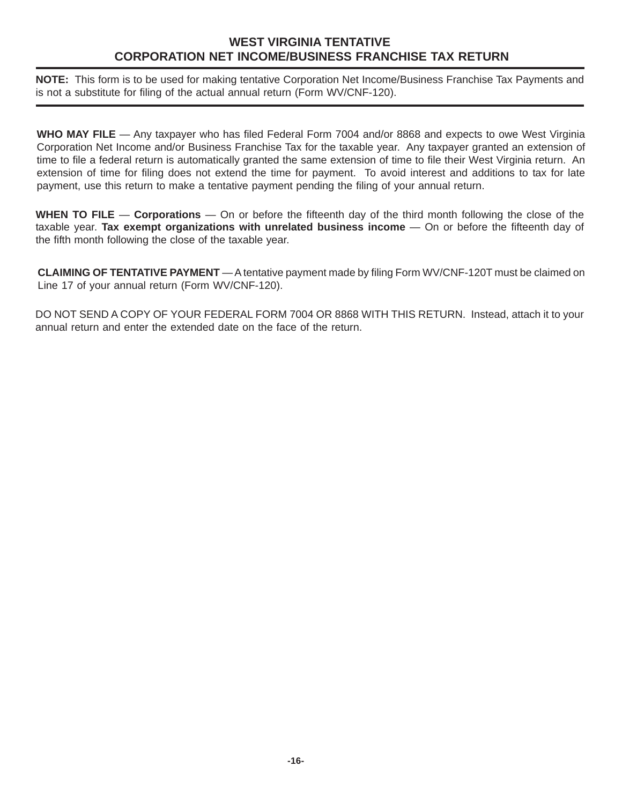# **WEST VIRGINIA TENTATIVE CORPORATION NET INCOME/BUSINESS FRANCHISE TAX RETURN**

**NOTE:** This form is to be used for making tentative Corporation Net Income/Business Franchise Tax Payments and is not a substitute for filing of the actual annual return (Form WV/CNF-120).

**WHO MAY FILE** — Any taxpayer who has filed Federal Form 7004 and/or 8868 and expects to owe West Virginia Corporation Net Income and/or Business Franchise Tax for the taxable year. Any taxpayer granted an extension of time to file a federal return is automatically granted the same extension of time to file their West Virginia return. An extension of time for filing does not extend the time for payment. To avoid interest and additions to tax for late payment, use this return to make a tentative payment pending the filing of your annual return.

**WHEN TO FILE** — **Corporations** — On or before the fifteenth day of the third month following the close of the taxable year. **Tax exempt organizations with unrelated business income** — On or before the fifteenth day of the fifth month following the close of the taxable year.

**CLAIMING OF TENTATIVE PAYMENT** — A tentative payment made by filing Form WV/CNF-120T must be claimed on Line 17 of your annual return (Form WV/CNF-120).

DO NOT SEND A COPY OF YOUR FEDERAL FORM 7004 OR 8868 WITH THIS RETURN. Instead, attach it to your annual return and enter the extended date on the face of the return.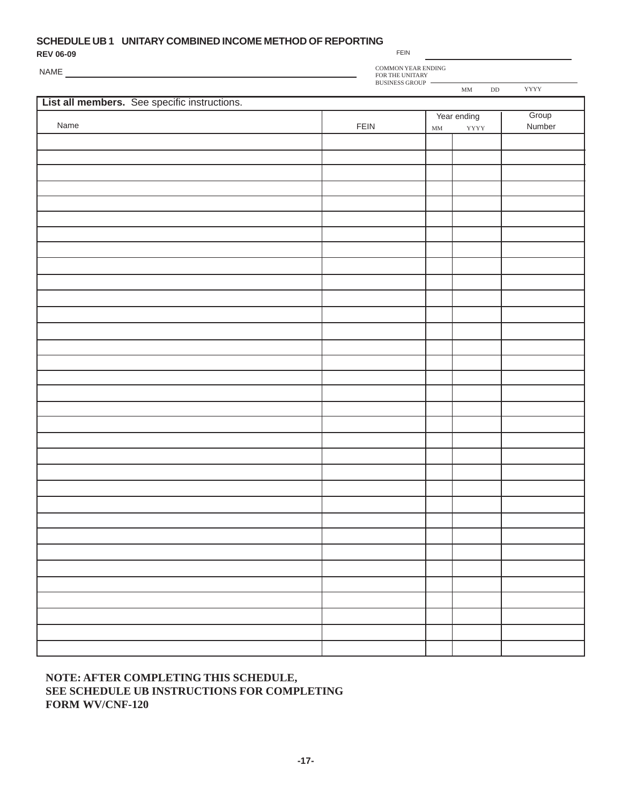### **SCHEDULE UB 1 UNITARY COMBINED INCOME METHOD OF REPORTING**

NAME

| <b>REV 06-09</b> |  |
|------------------|--|
|------------------|--|

FEIN

COMMON YEAR ENDING

FOR THE UNITARY

BUSINESS GROUP MM DD YYYY **List all members.** See specific instructions.  $\sqrt{\frac{1}{2}}$  Year ending  $\sqrt{\frac{1}{2}}$ 

 $\overline{a}$ 

|      |      |             | rear ending |                 |
|------|------|-------------|-------------|-----------------|
| Name | FEIN | $\mbox{MM}$ | <b>YYYY</b> | Stoup<br>Number |
|      |      |             |             |                 |
|      |      |             |             |                 |
|      |      |             |             |                 |
|      |      |             |             |                 |
|      |      |             |             |                 |
|      |      |             |             |                 |
|      |      |             |             |                 |
|      |      |             |             |                 |
|      |      |             |             |                 |
|      |      |             |             |                 |
|      |      |             |             |                 |
|      |      |             |             |                 |
|      |      |             |             |                 |
|      |      |             |             |                 |
|      |      |             |             |                 |
|      |      |             |             |                 |
|      |      |             |             |                 |
|      |      |             |             |                 |
|      |      |             |             |                 |
|      |      |             |             |                 |
|      |      |             |             |                 |
|      |      |             |             |                 |
|      |      |             |             |                 |
|      |      |             |             |                 |
|      |      |             |             |                 |
|      |      |             |             |                 |
|      |      |             |             |                 |
|      |      |             |             |                 |
|      |      |             |             |                 |
|      |      |             |             |                 |
|      |      |             |             |                 |
|      |      |             |             |                 |
|      |      |             |             |                 |
|      |      |             |             |                 |
|      |      |             |             |                 |
|      |      |             |             |                 |
|      |      |             |             |                 |
|      |      |             |             |                 |
|      |      |             |             |                 |
|      |      |             |             |                 |
|      |      |             |             |                 |
|      |      |             |             |                 |
|      |      |             |             |                 |
|      |      |             |             |                 |
|      |      |             |             |                 |

## **NOTE: AFTER COMPLETING THIS SCHEDULE, SEE SCHEDULE UB INSTRUCTIONS FOR COMPLETING FORM WV/CNF-120**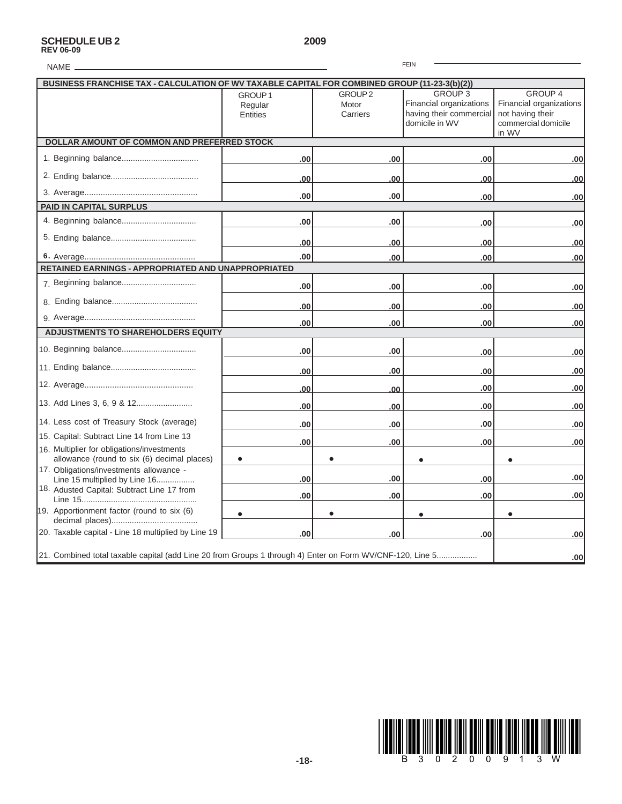# **SCHEDULE UB 2 2009 REV 06-09**

| <b>FEIN</b><br>NAME_                                                                                      |                                           |                                         |                                                                                        |                                                                                        |  |  |
|-----------------------------------------------------------------------------------------------------------|-------------------------------------------|-----------------------------------------|----------------------------------------------------------------------------------------|----------------------------------------------------------------------------------------|--|--|
| BUSINESS FRANCHISE TAX - CALCULATION OF WV TAXABLE CAPITAL FOR COMBINED GROUP (11-23-3(b)(2))             |                                           |                                         |                                                                                        |                                                                                        |  |  |
|                                                                                                           | GROUP <sub>1</sub><br>Regular<br>Entities | GROUP <sub>2</sub><br>Motor<br>Carriers | <b>GROUP 3</b><br>Financial organizations<br>having their commercial<br>domicile in WV | GROUP 4<br>Financial organizations<br>not having their<br>commercial domicile<br>in WV |  |  |
| DOLLAR AMOUNT OF COMMON AND PREFERRED STOCK                                                               |                                           |                                         |                                                                                        |                                                                                        |  |  |
|                                                                                                           | .00                                       | .00                                     | .00                                                                                    | .00                                                                                    |  |  |
|                                                                                                           | .00                                       | .00                                     | .00                                                                                    | .00                                                                                    |  |  |
|                                                                                                           | .00                                       | .00                                     | .00                                                                                    | .00                                                                                    |  |  |
| <b>PAID IN CAPITAL SURPLUS</b>                                                                            |                                           |                                         |                                                                                        |                                                                                        |  |  |
|                                                                                                           | .00                                       | .00                                     | .00                                                                                    | .00                                                                                    |  |  |
|                                                                                                           | .00                                       | .00                                     | .00                                                                                    | .00                                                                                    |  |  |
|                                                                                                           | .00                                       | .00                                     | .00                                                                                    | .00                                                                                    |  |  |
| RETAINED EARNINGS - APPROPRIATED AND UNAPPROPRIATED                                                       |                                           |                                         |                                                                                        |                                                                                        |  |  |
|                                                                                                           | .00                                       | .00                                     | .00                                                                                    | .00                                                                                    |  |  |
|                                                                                                           | .00                                       | .00                                     | .00                                                                                    | .00                                                                                    |  |  |
|                                                                                                           | .00                                       | .00                                     | .00                                                                                    | .00                                                                                    |  |  |
| <b>ADJUSTMENTS TO SHAREHOLDERS EQUITY</b>                                                                 |                                           |                                         |                                                                                        |                                                                                        |  |  |
|                                                                                                           | .00                                       | .00                                     | .00                                                                                    | .00                                                                                    |  |  |
|                                                                                                           | .00                                       | .00                                     | .00                                                                                    | .00                                                                                    |  |  |
|                                                                                                           | .00                                       | .00                                     | .00                                                                                    | .00                                                                                    |  |  |
|                                                                                                           | .00                                       | .00                                     | .00                                                                                    | .00                                                                                    |  |  |
| 14. Less cost of Treasury Stock (average)                                                                 | .00                                       | .00                                     | .00                                                                                    | .00                                                                                    |  |  |
| 15. Capital: Subtract Line 14 from Line 13                                                                | .00                                       | .00                                     | .00                                                                                    | .00                                                                                    |  |  |
| 16. Multiplier for obligations/investments<br>allowance (round to six (6) decimal places)                 |                                           |                                         |                                                                                        |                                                                                        |  |  |
| 17. Obligations/investments allowance -<br>Line 15 multiplied by Line 16                                  | .00                                       | .00                                     | .00                                                                                    | .00                                                                                    |  |  |
| 18. Adusted Capital: Subtract Line 17 from                                                                | .00                                       | .00                                     | .00                                                                                    | .00                                                                                    |  |  |
| 19. Apportionment factor (round to six (6)                                                                |                                           |                                         |                                                                                        |                                                                                        |  |  |
|                                                                                                           |                                           |                                         |                                                                                        |                                                                                        |  |  |
| 20. Taxable capital - Line 18 multiplied by Line 19                                                       | .00                                       | .00                                     | .00                                                                                    | .00                                                                                    |  |  |
| 21. Combined total taxable capital (add Line 20 from Groups 1 through 4) Enter on Form WV/CNF-120, Line 5 |                                           |                                         |                                                                                        | .00                                                                                    |  |  |

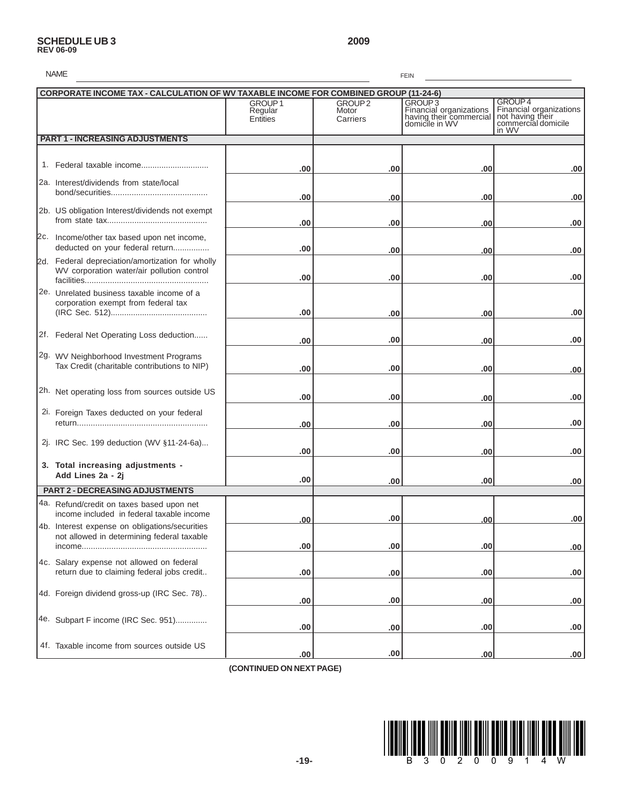# **SCHEDULE UB 3 2009 REV 06-09**

| <b>NAME</b><br><b>FEIN</b>                                                                     |                                                  |                                         |                                                                                            |                                                                                                   |  |  |
|------------------------------------------------------------------------------------------------|--------------------------------------------------|-----------------------------------------|--------------------------------------------------------------------------------------------|---------------------------------------------------------------------------------------------------|--|--|
| <b>CORPORATE INCOME TAX - CALCULATION OF WV TAXABLE INCOME FOR COMBINED GROUP (11-24-6)</b>    |                                                  |                                         |                                                                                            |                                                                                                   |  |  |
|                                                                                                | GROUP <sub>1</sub><br>Regular<br><b>Entities</b> | GROUP <sub>2</sub><br>Motor<br>Carriers | GROUP <sub>3</sub><br>Financial organizations<br>having their commercial<br>domicile in WV | GROUP <sub>4</sub><br>Financial organizations<br>not having their<br>commercial domicile<br>in WV |  |  |
| <b>PART 1 - INCREASING ADJUSTMENTS</b>                                                         |                                                  |                                         |                                                                                            |                                                                                                   |  |  |
|                                                                                                | .00                                              | .00                                     | .00                                                                                        | .00                                                                                               |  |  |
| 2a. Interest/dividends from state/local                                                        | .00                                              | .00                                     | .00                                                                                        | .00                                                                                               |  |  |
| 2b. US obligation Interest/dividends not exempt                                                | .00                                              | .00                                     | .00                                                                                        | .00                                                                                               |  |  |
| 2c. Income/other tax based upon net income,<br>deducted on your federal return                 | .00                                              | .00                                     | .00                                                                                        | .00                                                                                               |  |  |
| 2d. Federal depreciation/amortization for wholly<br>WV corporation water/air pollution control | .00                                              | .00                                     | .00                                                                                        | .00                                                                                               |  |  |
| 2e. Unrelated business taxable income of a<br>corporation exempt from federal tax              | .00                                              | .00                                     | .00                                                                                        | .00                                                                                               |  |  |
| 2f. Federal Net Operating Loss deduction                                                       | .00                                              | .00                                     | .00                                                                                        | .00                                                                                               |  |  |
| 2g. WV Neighborhood Investment Programs<br>Tax Credit (charitable contributions to NIP)        | .00                                              | .00                                     | .00                                                                                        | .00                                                                                               |  |  |
| 2h. Net operating loss from sources outside US                                                 | .00                                              | .00                                     | .00                                                                                        | .00                                                                                               |  |  |
| 2i. Foreign Taxes deducted on your federal                                                     | .00                                              | .00                                     | .00                                                                                        | .00                                                                                               |  |  |
| 2j. IRC Sec. 199 deduction (WV §11-24-6a)                                                      | .00                                              | .00                                     | .00                                                                                        | .00                                                                                               |  |  |
| 3. Total increasing adjustments -<br>Add Lines 2a - 2j                                         | .00                                              | .00                                     | .00                                                                                        | .00                                                                                               |  |  |
| <b>PART 2 - DECREASING ADJUSTMENTS</b>                                                         |                                                  |                                         |                                                                                            |                                                                                                   |  |  |
| 4a. Refund/credit on taxes based upon net<br>income included in federal taxable income         | .00                                              | .00                                     | .00 <sub>1</sub>                                                                           | .00                                                                                               |  |  |
| 4b. Interest expense on obligations/securities<br>not allowed in determining federal taxable   | .00                                              | .00                                     | .00                                                                                        | .00.                                                                                              |  |  |
| 4c. Salary expense not allowed on federal<br>return due to claiming federal jobs credit        | .00                                              | .00                                     | .00                                                                                        | .00                                                                                               |  |  |
| 4d. Foreign dividend gross-up (IRC Sec. 78)                                                    | .00                                              | .00                                     | .00                                                                                        | .00                                                                                               |  |  |
| 4e. Subpart F income (IRC Sec. 951)                                                            | .00                                              | .00                                     | .00                                                                                        | .00                                                                                               |  |  |
| 4f. Taxable income from sources outside US                                                     | .00                                              | .00                                     | .00                                                                                        | .00                                                                                               |  |  |

 **(CONTINUED ON NEXT PAGE)**

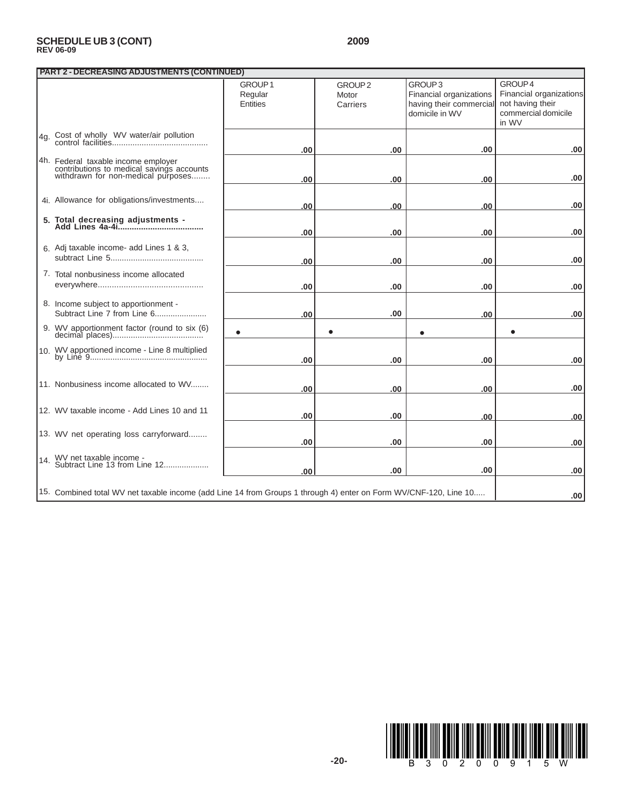# **SCHEDULE UB 3 (CONT) 2009 REV 06-09**

| <b>PART 2 - DECREASING ADJUSTMENTS (CONTINUED)</b> |                                                                                                                        |                    |                    |                         |                         |  |  |
|----------------------------------------------------|------------------------------------------------------------------------------------------------------------------------|--------------------|--------------------|-------------------------|-------------------------|--|--|
|                                                    |                                                                                                                        | GROUP <sub>1</sub> | GROUP <sub>2</sub> | GROUP <sub>3</sub>      | GROUP 4                 |  |  |
|                                                    |                                                                                                                        | Regular            | Motor              | Financial organizations | Financial organizations |  |  |
|                                                    |                                                                                                                        | <b>Entities</b>    | Carriers           | having their commercial | not having their        |  |  |
|                                                    |                                                                                                                        |                    |                    | domicile in WV          | commercial domicile     |  |  |
|                                                    |                                                                                                                        |                    |                    |                         | in WV                   |  |  |
|                                                    |                                                                                                                        |                    |                    |                         |                         |  |  |
|                                                    | 4g. Cost of wholly WV water/air pollution                                                                              |                    |                    |                         |                         |  |  |
|                                                    |                                                                                                                        | .00                | .00                | .00                     | .00                     |  |  |
|                                                    |                                                                                                                        |                    |                    |                         |                         |  |  |
|                                                    | 4h. Federal taxable income employer<br>contributions to medical savings accounts<br>withdrawn for non-medical purposes |                    |                    |                         |                         |  |  |
|                                                    |                                                                                                                        | .00                | .00                | .00                     | .00                     |  |  |
|                                                    |                                                                                                                        |                    |                    |                         |                         |  |  |
|                                                    | 4i. Allowance for obligations/investments                                                                              |                    |                    |                         |                         |  |  |
|                                                    |                                                                                                                        | .00                | .00                | .00                     | .00                     |  |  |
|                                                    |                                                                                                                        |                    |                    |                         |                         |  |  |
|                                                    |                                                                                                                        |                    |                    |                         |                         |  |  |
|                                                    |                                                                                                                        | .00                | .00                | .00                     | .00                     |  |  |
|                                                    |                                                                                                                        |                    |                    |                         |                         |  |  |
|                                                    | 6. Adj taxable income- add Lines 1 & 3,                                                                                |                    |                    |                         |                         |  |  |
|                                                    |                                                                                                                        | .00                | .00                | .00                     | .00                     |  |  |
|                                                    | 7. Total nonbusiness income allocated                                                                                  |                    |                    |                         |                         |  |  |
|                                                    |                                                                                                                        |                    |                    |                         |                         |  |  |
|                                                    |                                                                                                                        | .00                | .00                | .00                     | .00                     |  |  |
|                                                    | 8. Income subject to apportionment -                                                                                   |                    |                    |                         |                         |  |  |
|                                                    | Subtract Line 7 from Line 6                                                                                            | .00                | .00                | .00                     | .00                     |  |  |
|                                                    |                                                                                                                        |                    |                    |                         |                         |  |  |
|                                                    | 9. WV apportionment factor (round to six (6)                                                                           |                    |                    |                         |                         |  |  |
|                                                    |                                                                                                                        |                    |                    |                         |                         |  |  |
|                                                    |                                                                                                                        |                    |                    |                         |                         |  |  |
|                                                    |                                                                                                                        | .00                | .00.               | .00                     | .00                     |  |  |
|                                                    |                                                                                                                        |                    |                    |                         |                         |  |  |
|                                                    |                                                                                                                        |                    |                    |                         |                         |  |  |
|                                                    | 11. Nonbusiness income allocated to WV                                                                                 | .00                | .00                | .00                     | .00                     |  |  |
|                                                    |                                                                                                                        |                    |                    |                         |                         |  |  |
|                                                    | 12. WV taxable income - Add Lines 10 and 11                                                                            |                    |                    |                         |                         |  |  |
|                                                    |                                                                                                                        | .00                | .00                | .00                     | .00                     |  |  |
|                                                    |                                                                                                                        |                    |                    |                         |                         |  |  |
|                                                    | 13. WV net operating loss carryforward                                                                                 |                    |                    |                         |                         |  |  |
|                                                    |                                                                                                                        | .00                | .00                | .00                     | .00                     |  |  |
|                                                    |                                                                                                                        |                    |                    |                         |                         |  |  |
|                                                    | 14. WV net taxable income -<br>14. Subtract Line 13 from Line 12                                                       |                    |                    |                         |                         |  |  |
|                                                    |                                                                                                                        | .00                | .00                | .00                     | .00                     |  |  |
|                                                    |                                                                                                                        |                    |                    |                         |                         |  |  |
|                                                    | 15. Combined total WV net taxable income (add Line 14 from Groups 1 through 4) enter on Form WV/CNF-120, Line 10       |                    |                    |                         | .00.                    |  |  |
|                                                    |                                                                                                                        |                    |                    |                         |                         |  |  |

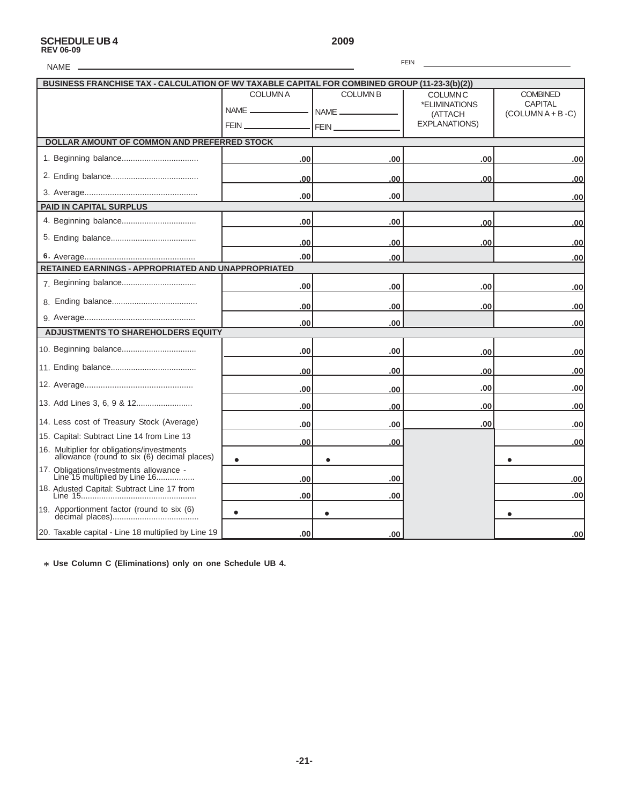# **SCHEDULE UB 4 2009 REV 06-09**

FEIN

| <b>FEIN</b><br><b>NAME</b>                                                                    |                |                         |                                  |                                   |  |  |  |  |
|-----------------------------------------------------------------------------------------------|----------------|-------------------------|----------------------------------|-----------------------------------|--|--|--|--|
| BUSINESS FRANCHISE TAX - CALCULATION OF WV TAXABLE CAPITAL FOR COMBINED GROUP (11-23-3(b)(2)) |                |                         |                                  |                                   |  |  |  |  |
|                                                                                               | <b>COLUMNA</b> | <b>COLUMN B</b><br>NAME | <b>COLUMN C</b><br>*ELIMINATIONS | <b>COMBINED</b><br><b>CAPITAL</b> |  |  |  |  |
|                                                                                               |                | <b>FEIN</b>             | (ATTACH<br><b>EXPLANATIONS)</b>  | $(COLUTIONA + B - C)$             |  |  |  |  |
| DOLLAR AMOUNT OF COMMON AND PREFERRED STOCK                                                   |                |                         |                                  |                                   |  |  |  |  |
|                                                                                               | .00            | .00                     | .00                              | .00                               |  |  |  |  |
|                                                                                               | .00            | .00                     | .00                              | .00                               |  |  |  |  |
|                                                                                               | .00            | .00                     |                                  | .00                               |  |  |  |  |
| <b>PAID IN CAPITAL SURPLUS</b>                                                                |                |                         |                                  |                                   |  |  |  |  |
|                                                                                               | .00            | .00                     | .00                              | .00                               |  |  |  |  |
|                                                                                               | .00            | .00                     | .00                              | .00                               |  |  |  |  |
|                                                                                               | .00            | .00                     |                                  | .00                               |  |  |  |  |
| RETAINED EARNINGS - APPROPRIATED AND UNAPPROPRIATED                                           |                |                         |                                  |                                   |  |  |  |  |
|                                                                                               | .00            | .00                     | .00                              | .00                               |  |  |  |  |
|                                                                                               | .00            | .00                     | .00                              | .00                               |  |  |  |  |
|                                                                                               | .00            | .00                     |                                  | .00                               |  |  |  |  |
| <b>ADJUSTMENTS TO SHAREHOLDERS EQUITY</b>                                                     |                |                         |                                  |                                   |  |  |  |  |
|                                                                                               | .00            | .00                     | .00                              | .00                               |  |  |  |  |
|                                                                                               | .00            | .00                     | .00                              | .00                               |  |  |  |  |
|                                                                                               | .00            | .00                     | .00                              | .00                               |  |  |  |  |
|                                                                                               | .00            | .00                     | .00                              | .00                               |  |  |  |  |
| 14. Less cost of Treasury Stock (Average)                                                     | .00            | .00                     | .00                              | .00                               |  |  |  |  |
| 15. Capital: Subtract Line 14 from Line 13                                                    | .00            | .00                     |                                  | .00                               |  |  |  |  |
| 16. Multiplier for obligations/investments<br>allowance (round to six (6) decimal places)     |                |                         |                                  |                                   |  |  |  |  |
| 17. Obligations/investments allowance -<br>Line 15 multiplied by Line 16                      | .00            | .00                     |                                  | .00                               |  |  |  |  |
| 18. Adusted Capital: Subtract Line 17 from                                                    | .00            | .00                     |                                  | .00                               |  |  |  |  |
| 19. Apportionment factor (round to six (6)                                                    |                |                         |                                  |                                   |  |  |  |  |
| 20. Taxable capital - Line 18 multiplied by Line 19                                           | .00            | .00                     |                                  | .00                               |  |  |  |  |

\* **Use Column C (Eliminations) only on one Schedule UB 4.**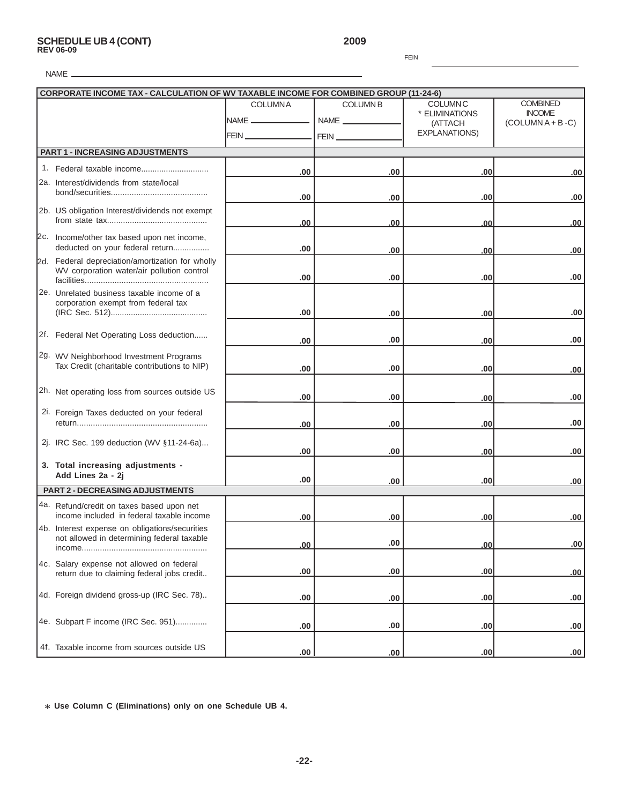# **SCHEDULE UB 4 (CONT) 2009 REV 06-09**

FEIN

| <b>CORPORATE INCOME TAX - CALCULATION OF WV TAXABLE INCOME FOR COMBINED GROUP (11-24-6)</b> |                                                                                        |                               |                 |                           |                                        |
|---------------------------------------------------------------------------------------------|----------------------------------------------------------------------------------------|-------------------------------|-----------------|---------------------------|----------------------------------------|
|                                                                                             |                                                                                        | <b>COLUMNA</b>                | <b>COLUMN B</b> | <b>COLUMN C</b>           | <b>COMBINED</b>                        |
|                                                                                             |                                                                                        | <b>INAME</b> ________________ |                 | * ELIMINATIONS<br>(ATTACH | <b>INCOME</b><br>$(COLUTIONA + B - C)$ |
|                                                                                             |                                                                                        |                               |                 | <b>EXPLANATIONS)</b>      |                                        |
|                                                                                             |                                                                                        |                               |                 |                           |                                        |
|                                                                                             | <b>PART 1 - INCREASING ADJUSTMENTS</b>                                                 |                               |                 |                           |                                        |
|                                                                                             |                                                                                        | .00                           | .00             | .00                       | .00                                    |
|                                                                                             | 2a. Interest/dividends from state/local                                                |                               |                 |                           |                                        |
|                                                                                             |                                                                                        | .00                           | .00             | .00                       | .00                                    |
|                                                                                             | 2b. US obligation Interest/dividends not exempt                                        |                               |                 |                           |                                        |
|                                                                                             |                                                                                        | .00                           | .00             | .00                       | .00                                    |
|                                                                                             | 2c. Income/other tax based upon net income,                                            |                               |                 |                           |                                        |
|                                                                                             | deducted on your federal return                                                        | .00                           | .00             | .00                       | .00                                    |
|                                                                                             | 2d. Federal depreciation/amortization for wholly                                       |                               |                 |                           |                                        |
|                                                                                             | WV corporation water/air pollution control                                             |                               |                 |                           |                                        |
|                                                                                             |                                                                                        | .00                           | .00             | .00                       | .00                                    |
|                                                                                             | 2e. Unrelated business taxable income of a                                             |                               |                 |                           |                                        |
|                                                                                             | corporation exempt from federal tax                                                    | .00                           | .00             | .00                       | .00                                    |
|                                                                                             |                                                                                        |                               |                 |                           |                                        |
|                                                                                             | 2f. Federal Net Operating Loss deduction                                               |                               |                 |                           |                                        |
|                                                                                             |                                                                                        | .00                           | .00             | .00                       | .00                                    |
|                                                                                             | 2g. WV Neighborhood Investment Programs                                                |                               |                 |                           |                                        |
|                                                                                             | Tax Credit (charitable contributions to NIP)                                           | .00                           | .00             | .00                       | .00                                    |
|                                                                                             |                                                                                        |                               |                 |                           |                                        |
|                                                                                             | 2h. Net operating loss from sources outside US                                         | .00                           | .00             | .00                       | .00                                    |
|                                                                                             | 2i. Foreign Taxes deducted on your federal                                             |                               |                 |                           |                                        |
|                                                                                             |                                                                                        | .00                           | .00             | .00                       | .00                                    |
|                                                                                             |                                                                                        |                               |                 |                           |                                        |
|                                                                                             | 2j. IRC Sec. 199 deduction (WV §11-24-6a)                                              | .00                           | .00             | .00                       | .00                                    |
|                                                                                             | 3. Total increasing adjustments -                                                      |                               |                 |                           |                                        |
|                                                                                             | Add Lines 2a - 2j                                                                      |                               |                 |                           |                                        |
|                                                                                             | <b>PART 2 - DECREASING ADJUSTMENTS</b>                                                 | .00                           | .00             | .00                       | .00                                    |
|                                                                                             |                                                                                        |                               |                 |                           |                                        |
|                                                                                             | 4a. Refund/credit on taxes based upon net<br>income included in federal taxable income |                               |                 |                           |                                        |
|                                                                                             | 4b. Interest expense on obligations/securities                                         | .00                           | .00             | .00                       | .00                                    |
|                                                                                             | not allowed in determining federal taxable                                             |                               |                 |                           |                                        |
|                                                                                             |                                                                                        | .00                           | .00             | <u>.00</u>                | .00                                    |
|                                                                                             | 4c. Salary expense not allowed on federal                                              |                               |                 |                           |                                        |
|                                                                                             | return due to claiming federal jobs credit                                             | .00                           | .00             | .00                       | .00                                    |
|                                                                                             |                                                                                        |                               |                 |                           |                                        |
|                                                                                             | 4d. Foreign dividend gross-up (IRC Sec. 78)                                            | .00                           | .00             | .00                       | .00                                    |
|                                                                                             |                                                                                        |                               |                 |                           |                                        |
|                                                                                             | 4e. Subpart F income (IRC Sec. 951)                                                    | .00                           | .00             | .00                       | .00                                    |
|                                                                                             |                                                                                        |                               |                 |                           |                                        |
|                                                                                             | 4f. Taxable income from sources outside US                                             | .00                           | .00             | .00                       | .00.                                   |

\* **Use Column C (Eliminations) only on one Schedule UB 4.**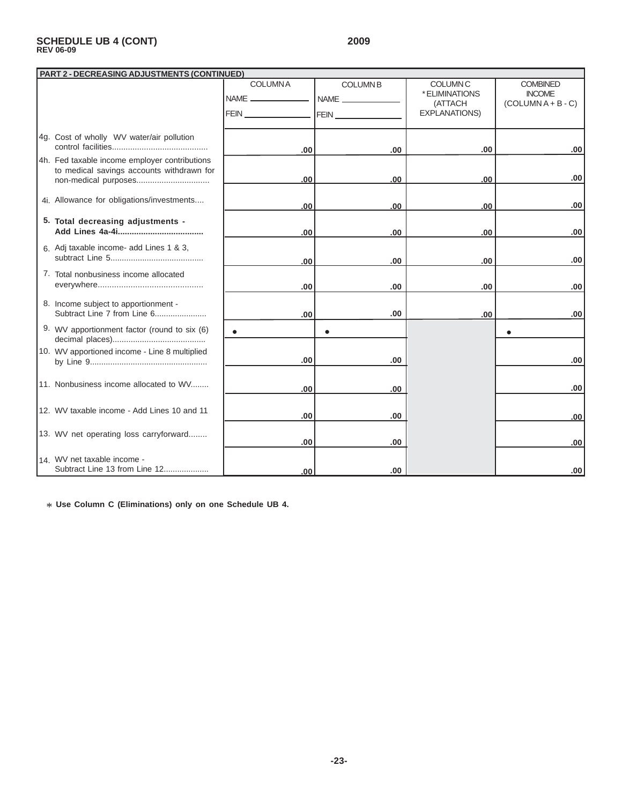# **SCHEDULE UB 4 (CONT) 2009 REV 06-09**

| <b>PART 2 - DECREASING ADJUSTMENTS (CONTINUED)</b> |                                                                                            |                                                                                                                                                                                                                                      |                        |                                              |                                                           |  |  |
|----------------------------------------------------|--------------------------------------------------------------------------------------------|--------------------------------------------------------------------------------------------------------------------------------------------------------------------------------------------------------------------------------------|------------------------|----------------------------------------------|-----------------------------------------------------------|--|--|
|                                                    |                                                                                            | <b>COLUMNA</b><br>NAME _______________                                                                                                                                                                                               | <b>COLUMNB</b><br>NAME | <b>COLUMN C</b><br>* ELIMINATIONS<br>(ATTACH | <b>COMBINED</b><br><b>INCOME</b><br>$(COLUTIONA + B - C)$ |  |  |
|                                                    |                                                                                            | FEIN <u>San Ann ann an 1976. Tha ann an 1976 ann an 1976 ann an 1976 ann an 1976 ann an 1977. Tha ann an 1977 ann an 1977 ann an 1977 ann an 1977 ann an 1977 ann an 1977 ann an 1977 ann an 1977 ann an 1977 ann an 1977 ann an</u> |                        | <b>EXPLANATIONS)</b>                         |                                                           |  |  |
|                                                    | 4g. Cost of wholly WV water/air pollution                                                  | .00.                                                                                                                                                                                                                                 | .00.                   | .00.                                         | .00                                                       |  |  |
|                                                    | 4h. Fed taxable income employer contributions<br>to medical savings accounts withdrawn for | .00                                                                                                                                                                                                                                  | .00                    | .00                                          | .00                                                       |  |  |
|                                                    | 4i. Allowance for obligations/investments                                                  | .00                                                                                                                                                                                                                                  | 00.                    | .00                                          | .00.                                                      |  |  |
|                                                    | 5. Total decreasing adjustments -                                                          | .00                                                                                                                                                                                                                                  | .00                    | .00                                          | .00                                                       |  |  |
|                                                    | 6. Adj taxable income- add Lines 1 & 3,                                                    | .00                                                                                                                                                                                                                                  | .00.                   | .00.                                         | .00                                                       |  |  |
|                                                    | 7. Total nonbusiness income allocated                                                      | .00                                                                                                                                                                                                                                  | .00                    | .00                                          | .00                                                       |  |  |
|                                                    | 8. Income subject to apportionment -<br>Subtract Line 7 from Line 6                        | .00                                                                                                                                                                                                                                  | .00                    | .00                                          | .00.                                                      |  |  |
|                                                    | 9. WV apportionment factor (round to six (6)                                               |                                                                                                                                                                                                                                      |                        |                                              |                                                           |  |  |
|                                                    | 10. WV apportioned income - Line 8 multiplied                                              | .00                                                                                                                                                                                                                                  | .00                    |                                              | .00.                                                      |  |  |
|                                                    | 11. Nonbusiness income allocated to WV                                                     | .00                                                                                                                                                                                                                                  | .00.                   |                                              | .00                                                       |  |  |
|                                                    | 12. WV taxable income - Add Lines 10 and 11                                                | .00                                                                                                                                                                                                                                  | .00                    |                                              | .00                                                       |  |  |
|                                                    | 13. WV net operating loss carryforward                                                     | .00                                                                                                                                                                                                                                  | .00                    |                                              | .00                                                       |  |  |
|                                                    | 14. WV net taxable income -<br>Subtract Line 13 from Line 12                               | .00.                                                                                                                                                                                                                                 | .00                    |                                              | .00                                                       |  |  |

\* **Use Column C (Eliminations) only on one Schedule UB 4.**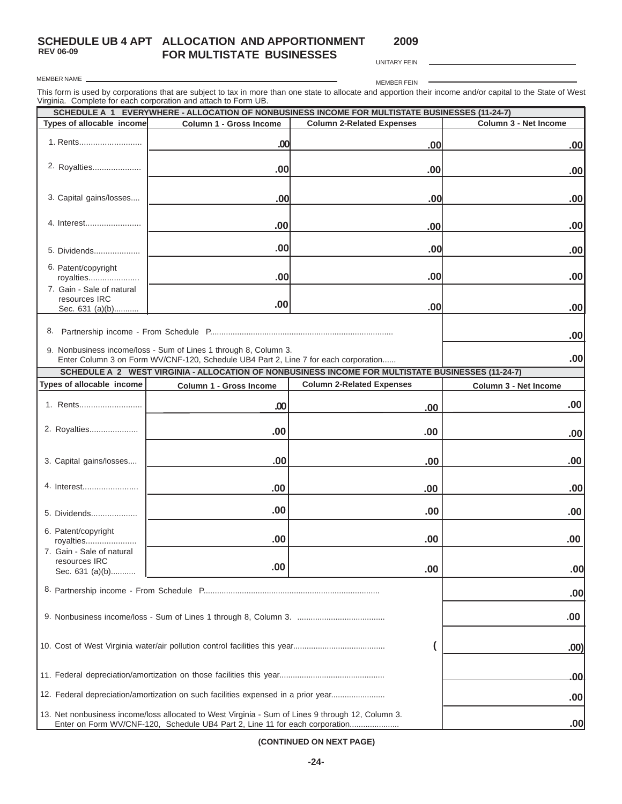**SCHEDULE UB 4 APT ALLOCATION AND APPORTIONMENT FOR MULTISTATE BUSINESSES**

**2009**

**REV 06-09** MEMBER NAME

UNITARY FEIN

MEMBER FEIN

 $\overline{\phantom{a}}$ 

This form is used by corporations that are subject to tax in more than one state to allocate and apportion their income and/or capital to the State of West Virginia. Complete for each corporation and attach to Form UB.

| <u>Using it is a component of the direction of the set</u><br>SCHEDULE A 1 EVERYWHERE - ALLOCATION OF NONBUSINESS INCOME FOR MULTISTATE BUSINESSES (11-24-7)                            |                         |                                                                                                   |                       |  |  |  |  |
|-----------------------------------------------------------------------------------------------------------------------------------------------------------------------------------------|-------------------------|---------------------------------------------------------------------------------------------------|-----------------------|--|--|--|--|
| Types of allocable income                                                                                                                                                               | Column 1 - Gross Income | <b>Column 2-Related Expenses</b>                                                                  | Column 3 - Net Income |  |  |  |  |
| 1. Rents                                                                                                                                                                                | .00                     | .00                                                                                               | .00                   |  |  |  |  |
| 2. Royalties                                                                                                                                                                            | .00                     | .00                                                                                               | .00                   |  |  |  |  |
| 3. Capital gains/losses                                                                                                                                                                 | .00                     | .00                                                                                               | .00                   |  |  |  |  |
| 4. Interest                                                                                                                                                                             | .00                     | .00                                                                                               | .00                   |  |  |  |  |
| 5. Dividends                                                                                                                                                                            | .00                     | .00                                                                                               | .00                   |  |  |  |  |
| 6. Patent/copyright<br>royalties                                                                                                                                                        | .00                     | .00                                                                                               | .00                   |  |  |  |  |
| 7. Gain - Sale of natural<br>resources IRC<br>Sec. 631 (a)(b)                                                                                                                           | .00                     | .00                                                                                               | .00                   |  |  |  |  |
|                                                                                                                                                                                         | .00                     |                                                                                                   |                       |  |  |  |  |
| 9. Nonbusiness income/loss - Sum of Lines 1 through 8, Column 3.<br>Enter Column 3 on Form WV/CNF-120, Schedule UB4 Part 2, Line 7 for each corporation                                 |                         |                                                                                                   |                       |  |  |  |  |
|                                                                                                                                                                                         |                         | SCHEDULE A 2 WEST VIRGINIA - ALLOCATION OF NONBUSINESS INCOME FOR MULTISTATE BUSINESSES (11-24-7) |                       |  |  |  |  |
| Types of allocable income                                                                                                                                                               | Column 1 - Gross Income | <b>Column 2-Related Expenses</b>                                                                  | Column 3 - Net Income |  |  |  |  |
| 1. Rents                                                                                                                                                                                | .00                     | .00                                                                                               | .00                   |  |  |  |  |
| 2. Royalties                                                                                                                                                                            | .00                     | .00                                                                                               | .00                   |  |  |  |  |
| 3. Capital gains/losses                                                                                                                                                                 | .00                     | .00                                                                                               | .00                   |  |  |  |  |
| 4. Interest                                                                                                                                                                             | .00                     | .00                                                                                               | .00                   |  |  |  |  |
| 5. Dividends                                                                                                                                                                            | .00                     | .00                                                                                               | .00                   |  |  |  |  |
| 6. Patent/copyright<br>royalties                                                                                                                                                        | .00                     | .00                                                                                               | .00                   |  |  |  |  |
| 7. Gain - Sale of natural<br>resources IRC<br>Sec. 631 (a)(b)                                                                                                                           | .00                     | .00                                                                                               | .00                   |  |  |  |  |
|                                                                                                                                                                                         |                         |                                                                                                   | .00                   |  |  |  |  |
|                                                                                                                                                                                         |                         |                                                                                                   | .00                   |  |  |  |  |
|                                                                                                                                                                                         | .00)                    |                                                                                                   |                       |  |  |  |  |
|                                                                                                                                                                                         |                         |                                                                                                   |                       |  |  |  |  |
| 12. Federal depreciation/amortization on such facilities expensed in a prior year<br>.00                                                                                                |                         |                                                                                                   |                       |  |  |  |  |
| 13. Net nonbusiness income/loss allocated to West Virginia - Sum of Lines 9 through 12, Column 3.<br>.00<br>Enter on Form WV/CNF-120, Schedule UB4 Part 2, Line 11 for each corporation |                         |                                                                                                   |                       |  |  |  |  |

**(CONTINUED ON NEXT PAGE)**